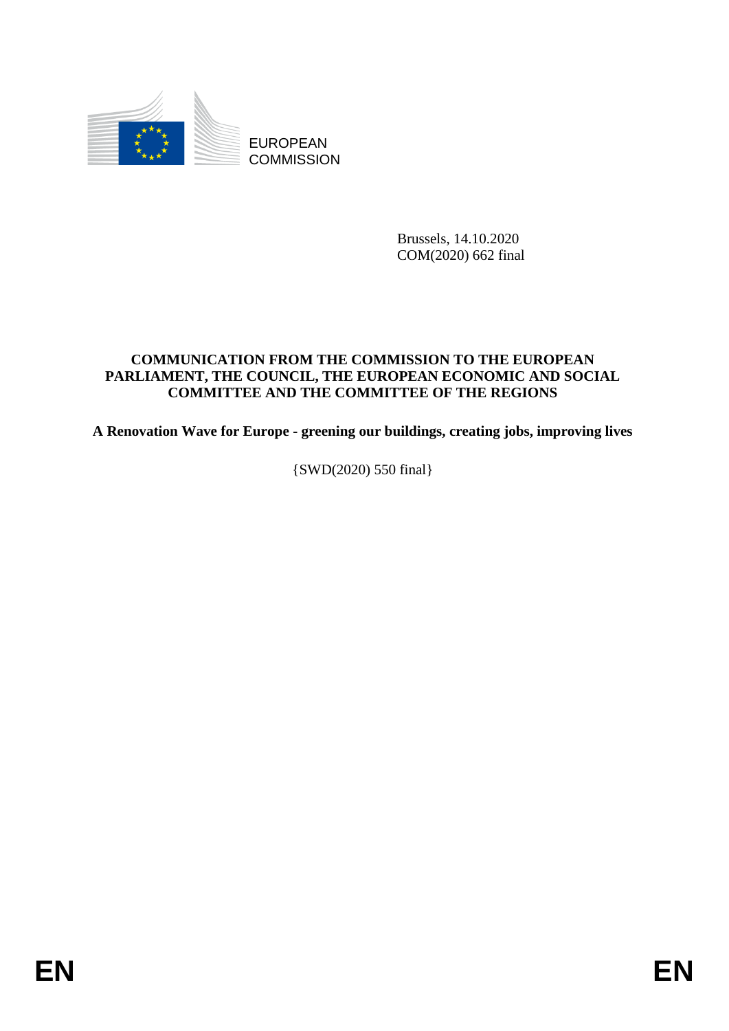

EUROPEAN **COMMISSION** 

> Brussels, 14.10.2020 COM(2020) 662 final

## **COMMUNICATION FROM THE COMMISSION TO THE EUROPEAN PARLIAMENT, THE COUNCIL, THE EUROPEAN ECONOMIC AND SOCIAL COMMITTEE AND THE COMMITTEE OF THE REGIONS**

**A Renovation Wave for Europe - greening our buildings, creating jobs, improving lives**

{SWD(2020) 550 final}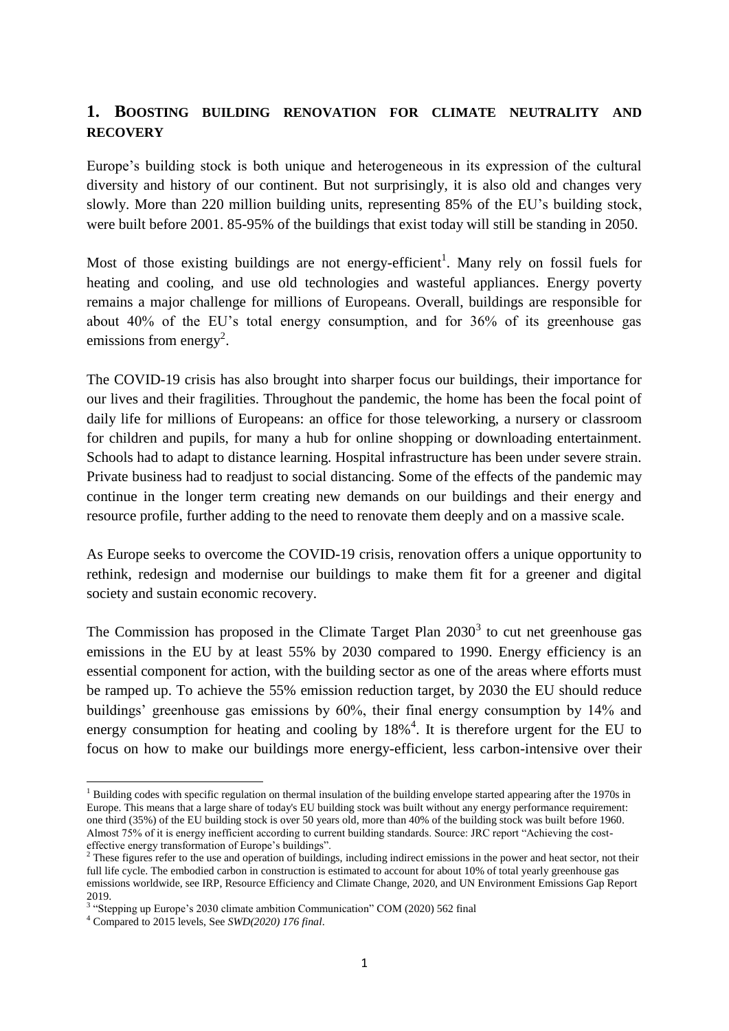# **1. BOOSTING BUILDING RENOVATION FOR CLIMATE NEUTRALITY AND RECOVERY**

Europe's building stock is both unique and heterogeneous in its expression of the cultural diversity and history of our continent. But not surprisingly, it is also old and changes very slowly. More than 220 million building units, representing 85% of the EU's building stock, were built before 2001. 85-95% of the buildings that exist today will still be standing in 2050.

Most of those existing buildings are not energy-efficient<sup>1</sup>. Many rely on fossil fuels for heating and cooling, and use old technologies and wasteful appliances. Energy poverty remains a major challenge for millions of Europeans. Overall, buildings are responsible for about 40% of the EU's total energy consumption, and for 36% of its greenhouse gas emissions from energy<sup>2</sup>.

The COVID-19 crisis has also brought into sharper focus our buildings, their importance for our lives and their fragilities. Throughout the pandemic, the home has been the focal point of daily life for millions of Europeans: an office for those teleworking, a nursery or classroom for children and pupils, for many a hub for online shopping or downloading entertainment. Schools had to adapt to distance learning. Hospital infrastructure has been under severe strain. Private business had to readjust to social distancing. Some of the effects of the pandemic may continue in the longer term creating new demands on our buildings and their energy and resource profile, further adding to the need to renovate them deeply and on a massive scale.

As Europe seeks to overcome the COVID-19 crisis, renovation offers a unique opportunity to rethink, redesign and modernise our buildings to make them fit for a greener and digital society and sustain economic recovery.

The Commission has proposed in the Climate Target Plan  $2030<sup>3</sup>$  to cut net greenhouse gas emissions in the EU by at least 55% by 2030 compared to 1990. Energy efficiency is an essential component for action, with the building sector as one of the areas where efforts must be ramped up. To achieve the 55% emission reduction target, by 2030 the EU should reduce buildings' greenhouse gas emissions by 60%, their final energy consumption by 14% and energy consumption for heating and cooling by  $18\%$ <sup>4</sup>. It is therefore urgent for the EU to focus on how to make our buildings more energy-efficient, less carbon-intensive over their

<sup>&</sup>lt;sup>1</sup> Building codes with specific regulation on thermal insulation of the building envelope started appearing after the 1970s in Europe. This means that a large share of today's EU building stock was built without any energy performance requirement: one third (35%) of the EU building stock is over 50 years old, more than 40% of the building stock was built before 1960. Almost 75% of it is energy inefficient according to current building standards. Source: JRC report "Achieving the costeffective energy transformation of Europe's buildings".

 $<sup>2</sup>$  These figures refer to the use and operation of buildings, including indirect emissions in the power and heat sector, not their</sup> full life cycle. The embodied carbon in construction is estimated to account for about 10% of total yearly greenhouse gas emissions worldwide, see IRP, Resource Efficiency and Climate Change, 2020, and UN Environment Emissions Gap Report 2019.

<sup>&</sup>lt;sup>3</sup> "Stepping up Europe's 2030 climate ambition Communication" COM (2020) 562 final

<sup>4</sup> Compared to 2015 levels, See *SWD(2020) 176 final*.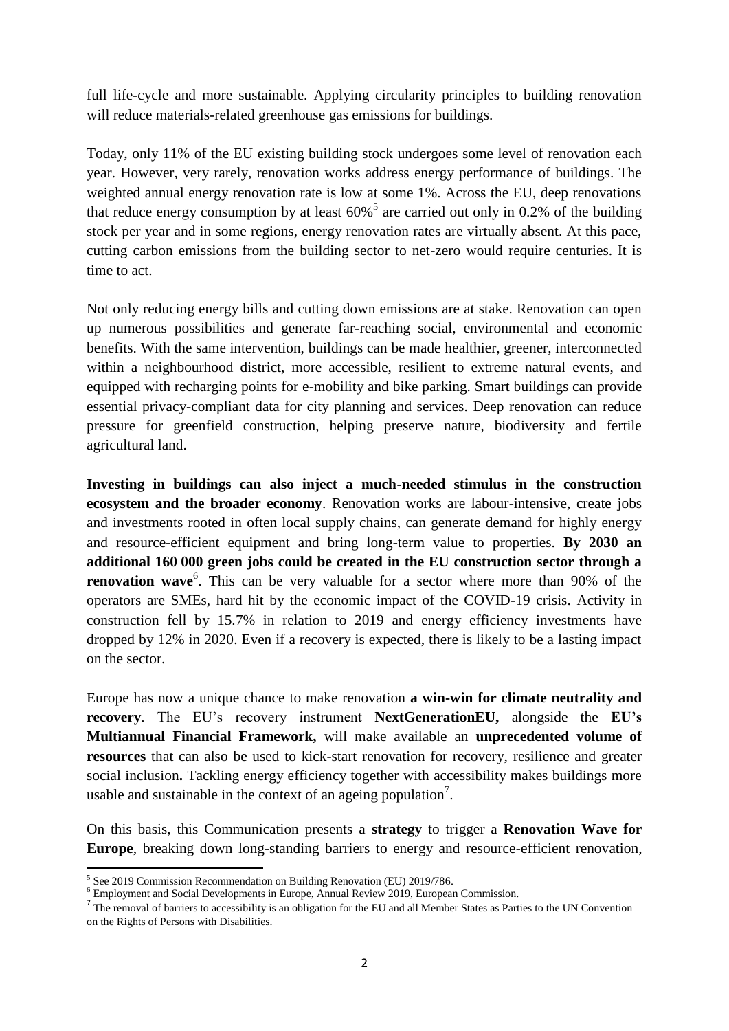full life-cycle and more sustainable. Applying circularity principles to building renovation will reduce materials-related greenhouse gas emissions for buildings.

Today, only 11% of the EU existing building stock undergoes some level of renovation each year. However, very rarely, renovation works address energy performance of buildings. The weighted annual energy renovation rate is low at some 1%. Across the EU, deep renovations that reduce energy consumption by at least  $60\%$ <sup>5</sup> are carried out only in 0.2% of the building stock per year and in some regions, energy renovation rates are virtually absent. At this pace, cutting carbon emissions from the building sector to net-zero would require centuries. It is time to act.

Not only reducing energy bills and cutting down emissions are at stake. Renovation can open up numerous possibilities and generate far-reaching social, environmental and economic benefits. With the same intervention, buildings can be made healthier, greener, interconnected within a neighbourhood district, more accessible, resilient to extreme natural events, and equipped with recharging points for e-mobility and bike parking. Smart buildings can provide essential privacy-compliant data for city planning and services. Deep renovation can reduce pressure for greenfield construction, helping preserve nature, biodiversity and fertile agricultural land.

**Investing in buildings can also inject a much-needed stimulus in the construction ecosystem and the broader economy**. Renovation works are labour-intensive, create jobs and investments rooted in often local supply chains, can generate demand for highly energy and resource-efficient equipment and bring long-term value to properties. **By 2030 an additional 160 000 green jobs could be created in the EU construction sector through a renovation wave**<sup>6</sup>. This can be very valuable for a sector where more than 90% of the operators are SMEs, hard hit by the economic impact of the COVID-19 crisis. Activity in construction fell by 15.7% in relation to 2019 and energy efficiency investments have dropped by 12% in 2020. Even if a recovery is expected, there is likely to be a lasting impact on the sector.

Europe has now a unique chance to make renovation **a win-win for climate neutrality and recovery**. The EU's recovery instrument **NextGenerationEU,** alongside the **EU's Multiannual Financial Framework,** will make available an **unprecedented volume of resources** that can also be used to kick-start renovation for recovery, resilience and greater social inclusion**.** Tackling energy efficiency together with accessibility makes buildings more usable and sustainable in the context of an ageing population<sup>7</sup>.

On this basis, this Communication presents a **strategy** to trigger a **Renovation Wave for Europe**, breaking down long-standing barriers to energy and resource-efficient renovation,

 5 See 2019 Commission Recommendation on Building Renovation (EU) 2019/786.

<sup>6</sup> Employment and Social Developments in Europe, Annual Review 2019, European Commission.

 $<sup>7</sup>$  The removal of barriers to accessibility is an obligation for the EU and all Member States as Parties to the UN Convention</sup> on the Rights of Persons with Disabilities.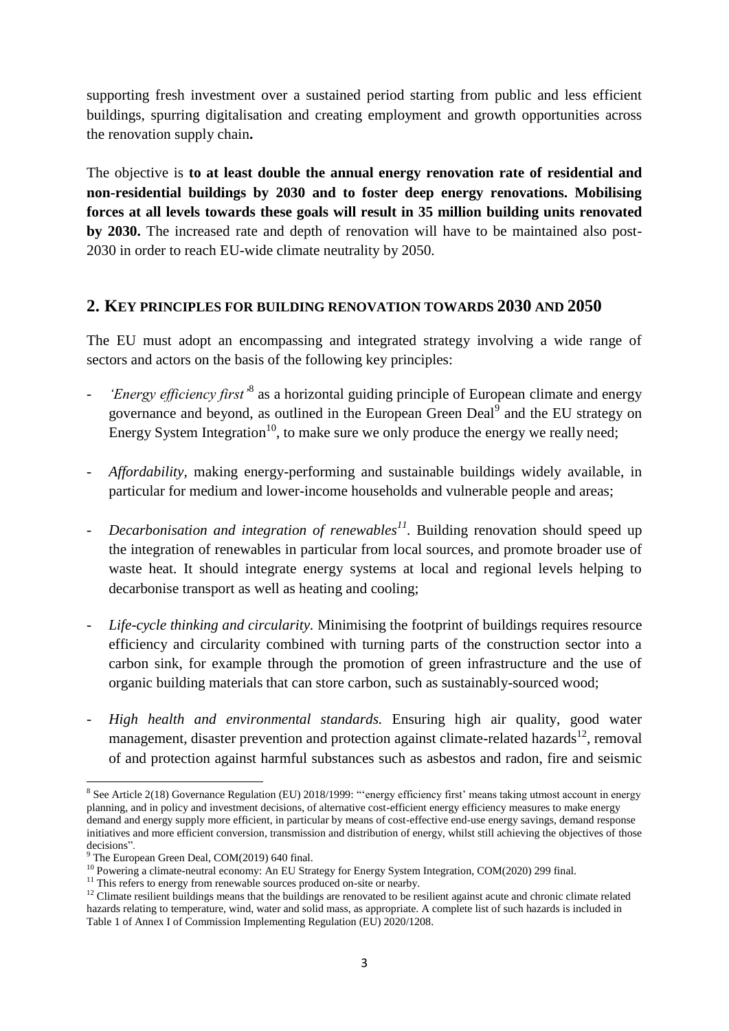supporting fresh investment over a sustained period starting from public and less efficient buildings, spurring digitalisation and creating employment and growth opportunities across the renovation supply chain**.** 

The objective is **to at least double the annual energy renovation rate of residential and non-residential buildings by 2030 and to foster deep energy renovations. Mobilising forces at all levels towards these goals will result in 35 million building units renovated by 2030.** The increased rate and depth of renovation will have to be maintained also post-2030 in order to reach EU-wide climate neutrality by 2050.

### **2. KEY PRINCIPLES FOR BUILDING RENOVATION TOWARDS 2030 AND 2050**

The EU must adopt an encompassing and integrated strategy involving a wide range of sectors and actors on the basis of the following key principles:

- *'Energy efficiency first'*<sup>8</sup> as a horizontal guiding principle of European climate and energy governance and beyond, as outlined in the European Green Deal<sup>9</sup> and the EU strategy on Energy System Integration<sup>10</sup>, to make sure we only produce the energy we really need;
- *Affordability,* making energy-performing and sustainable buildings widely available, in particular for medium and lower-income households and vulnerable people and areas;
- *Decarbonisation and integration of renewables<sup>11</sup> .* Building renovation should speed up the integration of renewables in particular from local sources, and promote broader use of waste heat. It should integrate energy systems at local and regional levels helping to decarbonise transport as well as heating and cooling;
- *Life-cycle thinking and circularity.* Minimising the footprint of buildings requires resource efficiency and circularity combined with turning parts of the construction sector into a carbon sink, for example through the promotion of green infrastructure and the use of organic building materials that can store carbon, such as sustainably-sourced wood;
- *High health and environmental standards.* Ensuring high air quality, good water management, disaster prevention and protection against climate-related hazards<sup>12</sup>, removal of and protection against harmful substances such as asbestos and radon, fire and seismic

<sup>&</sup>lt;sup>8</sup> See Article 2(18) Governance Regulation (EU) 2018/1999: "energy efficiency first' means taking utmost account in energy planning, and in policy and investment decisions, of alternative cost-efficient energy efficiency measures to make energy demand and energy supply more efficient, in particular by means of cost-effective end-use energy savings, demand response initiatives and more efficient conversion, transmission and distribution of energy, whilst still achieving the objectives of those decisions".

The European Green Deal, COM(2019) 640 final.

<sup>&</sup>lt;sup>10</sup> Powering a climate-neutral economy: An EU Strategy for Energy System Integration, COM(2020) 299 final.

<sup>&</sup>lt;sup>11</sup> This refers to energy from renewable sources produced on-site or nearby.

<sup>&</sup>lt;sup>12</sup> Climate resilient buildings means that the buildings are renovated to be resilient against acute and chronic climate related hazards relating to temperature, wind, water and solid mass, as appropriate. A complete list of such hazards is included in Table 1 of Annex I of Commission Implementing Regulation (EU) 2020/1208.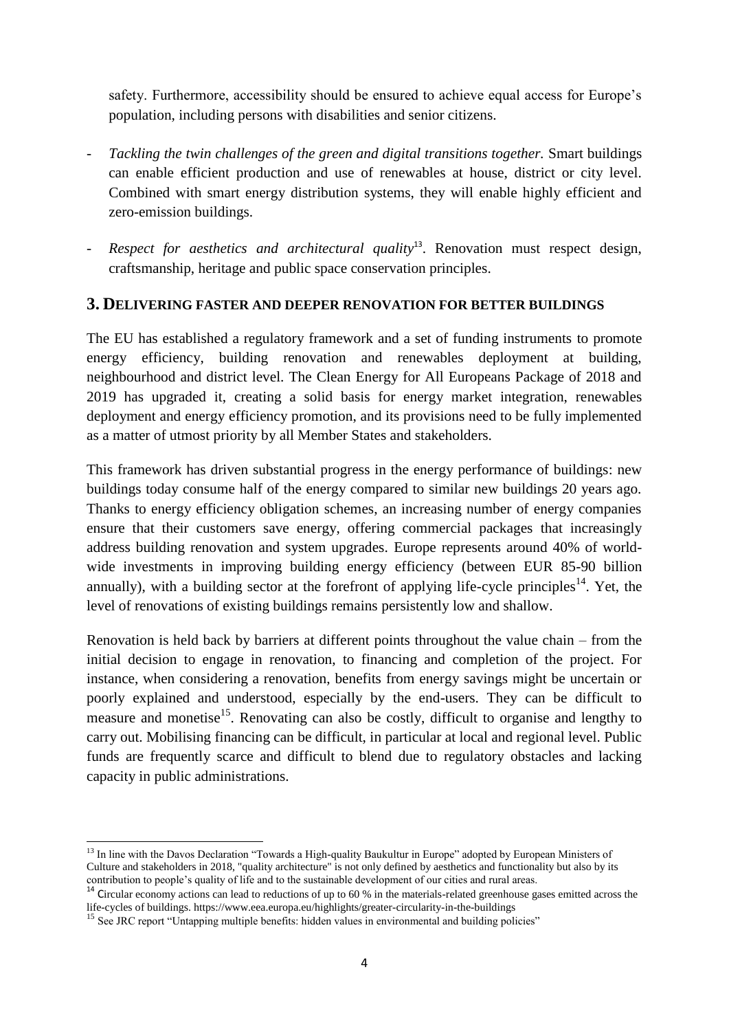safety. Furthermore, accessibility should be ensured to achieve equal access for Europe's population, including persons with disabilities and senior citizens.

- *Tackling the twin challenges of the green and digital transitions together.* Smart buildings can enable efficient production and use of renewables at house, district or city level. Combined with smart energy distribution systems, they will enable highly efficient and zero-emission buildings.
- *Respect for aesthetics and architectural quality*<sup>13</sup>. Renovation must respect design, craftsmanship, heritage and public space conservation principles.

### **3. DELIVERING FASTER AND DEEPER RENOVATION FOR BETTER BUILDINGS**

The EU has established a regulatory framework and a set of funding instruments to promote energy efficiency, building renovation and renewables deployment at building, neighbourhood and district level. The Clean Energy for All Europeans Package of 2018 and 2019 has upgraded it, creating a solid basis for energy market integration, renewables deployment and energy efficiency promotion, and its provisions need to be fully implemented as a matter of utmost priority by all Member States and stakeholders.

This framework has driven substantial progress in the energy performance of buildings: new buildings today consume half of the energy compared to similar new buildings 20 years ago. Thanks to energy efficiency obligation schemes, an increasing number of energy companies ensure that their customers save energy, offering commercial packages that increasingly address building renovation and system upgrades. Europe represents around 40% of worldwide investments in improving building energy efficiency (between EUR 85-90 billion annually), with a building sector at the forefront of applying life-cycle principles<sup>14</sup>. Yet, the level of renovations of existing buildings remains persistently low and shallow.

Renovation is held back by barriers at different points throughout the value chain – from the initial decision to engage in renovation, to financing and completion of the project. For instance, when considering a renovation, benefits from energy savings might be uncertain or poorly explained and understood, especially by the end-users. They can be difficult to measure and monetise<sup>15</sup>. Renovating can also be costly, difficult to organise and lengthy to carry out. Mobilising financing can be difficult, in particular at local and regional level. Public funds are frequently scarce and difficult to blend due to regulatory obstacles and lacking capacity in public administrations.

<sup>&</sup>lt;sup>13</sup> In line with the Davos Declaration "Towards a High-quality Baukultur in Europe" adopted by European Ministers of Culture and stakeholders in 2018, "quality architecture" is not only defined by aesthetics and functionality but also by its contribution to people's quality of life and to the sustainable development of our cities and rural areas.

<sup>&</sup>lt;sup>14</sup> Circular economy actions can lead to reductions of up to 60 % in the materials-related greenhouse gases emitted across the life-cycles of buildings. https://www.eea.europa.eu/highlights/greater-circularity-in-the-buildings

<sup>&</sup>lt;sup>15</sup> See JRC report "Untapping multiple benefits: hidden values in environmental and building policies"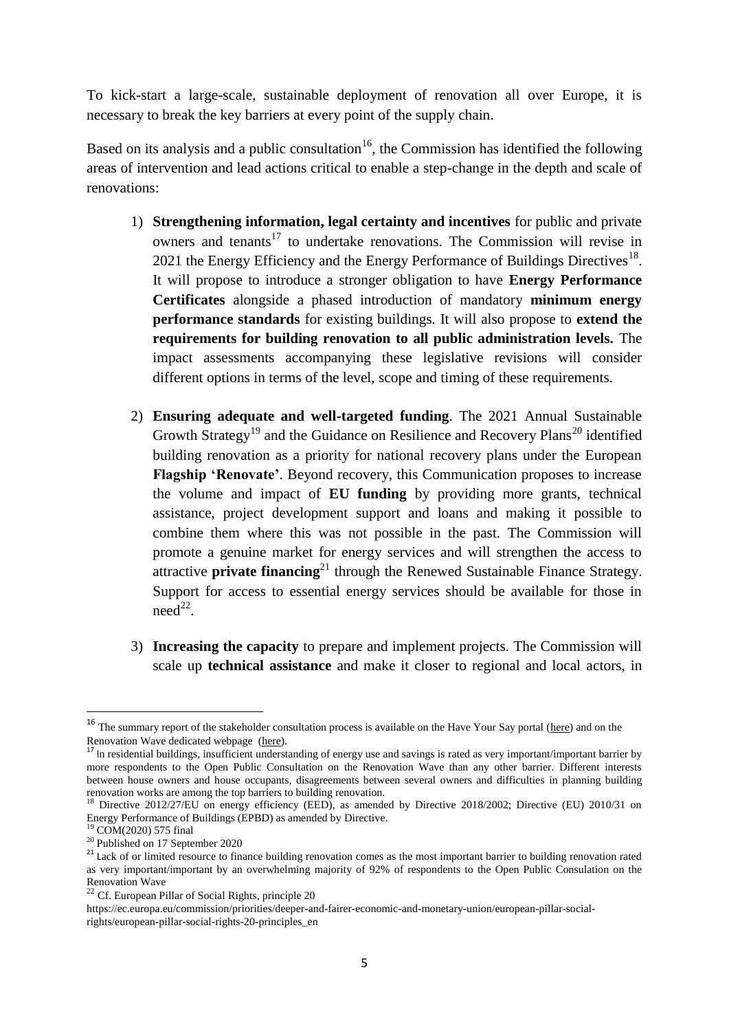To kick-start a large-scale, sustainable deployment of renovation all over Europe, it is necessary to break the key barriers at every point of the supply chain.

Based on its analysis and a public consultation<sup>16</sup>, the Commission has identified the following areas of intervention and lead actions critical to enable a step-change in the depth and scale of renovations:

- 1) **Strengthening information, legal certainty and incentives** for public and private owners and tenants<sup>17</sup> to undertake renovations. The Commission will revise in 2021 the Energy Efficiency and the Energy Performance of Buildings Directives<sup>18</sup>. It will propose to introduce a stronger obligation to have **Energy Performance Certificates** alongside a phased introduction of mandatory **minimum energy performance standards** for existing buildings. It will also propose to **extend the requirements for building renovation to all public administration levels.** The impact assessments accompanying these legislative revisions will consider different options in terms of the level, scope and timing of these requirements.
- 2) **Ensuring adequate and well-targeted funding**. The 2021 Annual Sustainable Growth Strategy<sup>19</sup> and the Guidance on Resilience and Recovery Plans<sup>20</sup> identified building renovation as a priority for national recovery plans under the European **Flagship 'Renovate'**. Beyond recovery, this Communication proposes to increase the volume and impact of **EU funding** by providing more grants, technical assistance, project development support and loans and making it possible to combine them where this was not possible in the past. The Commission will promote a genuine market for energy services and will strengthen the access to attractive **private financing**<sup>21</sup> through the Renewed Sustainable Finance Strategy. Support for access to essential energy services should be available for those in  $need^{22}$ .
- 3) **Increasing the capacity** to prepare and implement projects. The Commission will scale up **technical assistance** and make it closer to regional and local actors, in

1

<sup>&</sup>lt;sup>16</sup> The summary report of the stakeholder consultation process is available on the Have Your Say portal [\(here\)](https://ec.europa.eu/info/law/better-regulation/have-your-say/initiatives/12376-Energy-efficiency-in-buildings-consultation-on-renovation-wave-initiative) and on the Renovation Wave dedicated webpage [\(here\)](https://ec.europa.eu/energy/topics/energy-efficiency/energy-efficient-buildings/renovation-wave_en).

In residential buildings, insufficient understanding of energy use and savings is rated as very important/important barrier by more respondents to the Open Public Consultation on the Renovation Wave than any other barrier. Different interests between house owners and house occupants, disagreements between several owners and difficulties in planning building renovation works are among the top barriers to building renovation.

<sup>&</sup>lt;sup>18</sup> Directive 2012/27/EU on energy efficiency (EED), as amended by Directive 2018/2002; Directive (EU) 2010/31 on Energy Performance of Buildings (EPBD) as amended by Directive.

 $19$  COM(2020) 575 final

 $20$  Published on 17 September 2020

<sup>&</sup>lt;sup>21</sup> Lack of or limited resource to finance building renovation comes as the most important barrier to building renovation rated as very important/important by an overwhelming majority of 92% of respondents to the Open Public Consulation on the Renovation Wave

<sup>&</sup>lt;sup>22</sup> Cf. European Pillar of Social Rights, principle 20

https://ec.europa.eu/commission/priorities/deeper-and-fairer-economic-and-monetary-union/european-pillar-socialrights/european-pillar-social-rights-20-principles\_en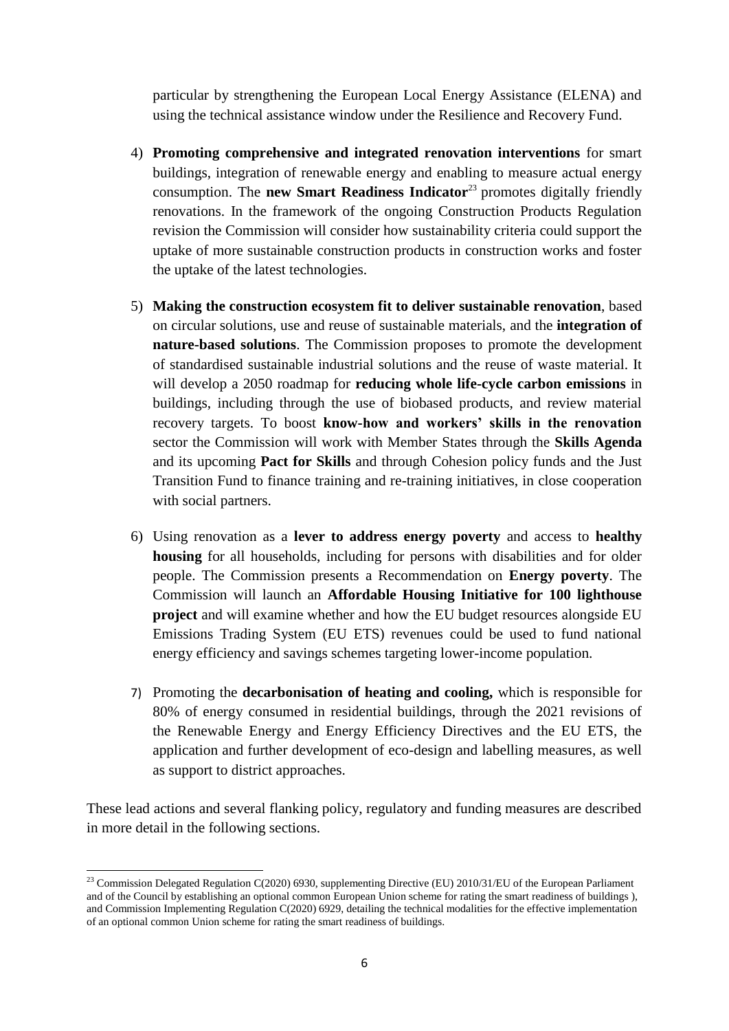particular by strengthening the European Local Energy Assistance (ELENA) and using the technical assistance window under the Resilience and Recovery Fund.

- 4) **Promoting comprehensive and integrated renovation interventions** for smart buildings, integration of renewable energy and enabling to measure actual energy consumption. The **new Smart Readiness Indicator**<sup>23</sup> promotes digitally friendly renovations. In the framework of the ongoing Construction Products Regulation revision the Commission will consider how sustainability criteria could support the uptake of more sustainable construction products in construction works and foster the uptake of the latest technologies.
- 5) **Making the construction ecosystem fit to deliver sustainable renovation**, based on circular solutions, use and reuse of sustainable materials, and the **integration of nature-based solutions**. The Commission proposes to promote the development of standardised sustainable industrial solutions and the reuse of waste material. It will develop a 2050 roadmap for **reducing whole life-cycle carbon emissions** in buildings, including through the use of biobased products, and review material recovery targets. To boost **know-how and workers' skills in the renovation** sector the Commission will work with Member States through the **Skills Agenda** and its upcoming **Pact for Skills** and through Cohesion policy funds and the Just Transition Fund to finance training and re-training initiatives, in close cooperation with social partners.
- 6) Using renovation as a **lever to address energy poverty** and access to **healthy housing** for all households, including for persons with disabilities and for older people. The Commission presents a Recommendation on **Energy poverty**. The Commission will launch an **Affordable Housing Initiative for 100 lighthouse project** and will examine whether and how the EU budget resources alongside EU Emissions Trading System (EU ETS) revenues could be used to fund national energy efficiency and savings schemes targeting lower-income population.
- 7) Promoting the **decarbonisation of heating and cooling,** which is responsible for 80% of energy consumed in residential buildings, through the 2021 revisions of the Renewable Energy and Energy Efficiency Directives and the EU ETS, the application and further development of eco-design and labelling measures, as well as support to district approaches.

These lead actions and several flanking policy, regulatory and funding measures are described in more detail in the following sections.

1

<sup>&</sup>lt;sup>23</sup> Commission Delegated Regulation C(2020) 6930, supplementing Directive (EU) 2010/31/EU of the European Parliament and of the Council by establishing an optional common European Union scheme for rating the smart readiness of buildings ), and Commission Implementing Regulation C(2020) 6929, detailing the technical modalities for the effective implementation of an optional common Union scheme for rating the smart readiness of buildings.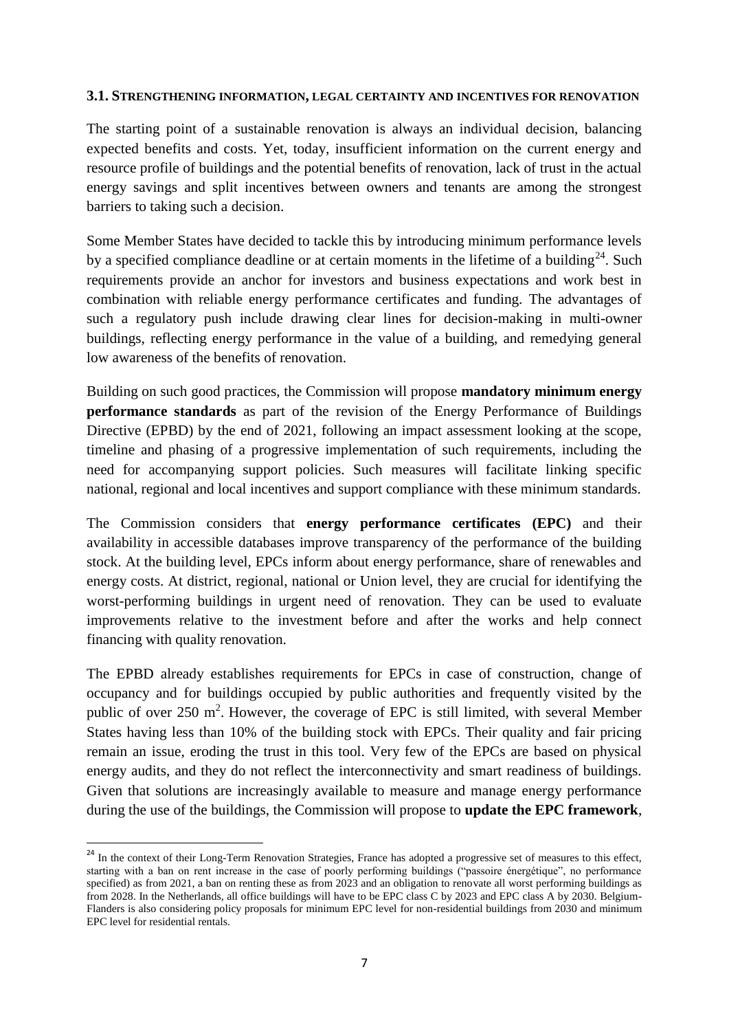#### **3.1. STRENGTHENING INFORMATION, LEGAL CERTAINTY AND INCENTIVES FOR RENOVATION**

The starting point of a sustainable renovation is always an individual decision, balancing expected benefits and costs. Yet, today, insufficient information on the current energy and resource profile of buildings and the potential benefits of renovation, lack of trust in the actual energy savings and split incentives between owners and tenants are among the strongest barriers to taking such a decision.

Some Member States have decided to tackle this by introducing minimum performance levels by a specified compliance deadline or at certain moments in the lifetime of a building<sup>24</sup>. Such requirements provide an anchor for investors and business expectations and work best in combination with reliable energy performance certificates and funding. The advantages of such a regulatory push include drawing clear lines for decision-making in multi-owner buildings, reflecting energy performance in the value of a building, and remedying general low awareness of the benefits of renovation.

Building on such good practices, the Commission will propose **mandatory minimum energy performance standards** as part of the revision of the Energy Performance of Buildings Directive (EPBD) by the end of 2021, following an impact assessment looking at the scope, timeline and phasing of a progressive implementation of such requirements, including the need for accompanying support policies. Such measures will facilitate linking specific national, regional and local incentives and support compliance with these minimum standards.

The Commission considers that **energy performance certificates (EPC)** and their availability in accessible databases improve transparency of the performance of the building stock. At the building level, EPCs inform about energy performance, share of renewables and energy costs. At district, regional, national or Union level, they are crucial for identifying the worst-performing buildings in urgent need of renovation. They can be used to evaluate improvements relative to the investment before and after the works and help connect financing with quality renovation.

The EPBD already establishes requirements for EPCs in case of construction, change of occupancy and for buildings occupied by public authorities and frequently visited by the public of over 250  $m^2$ . However, the coverage of EPC is still limited, with several Member States having less than 10% of the building stock with EPCs. Their quality and fair pricing remain an issue, eroding the trust in this tool. Very few of the EPCs are based on physical energy audits, and they do not reflect the interconnectivity and smart readiness of buildings. Given that solutions are increasingly available to measure and manage energy performance during the use of the buildings, the Commission will propose to **update the EPC framework**,

<sup>&</sup>lt;sup>24</sup> In the context of their Long-Term Renovation Strategies, France has adopted a progressive set of measures to this effect, starting with a ban on rent increase in the case of poorly performing buildings ("passoire énergétique", no performance specified) as from 2021, a ban on renting these as from 2023 and an obligation to renovate all worst performing buildings as from 2028. In the Netherlands, all office buildings will have to be EPC class C by 2023 and EPC class A by 2030. Belgium-Flanders is also considering policy proposals for minimum EPC level for non-residential buildings from 2030 and minimum EPC level for residential rentals.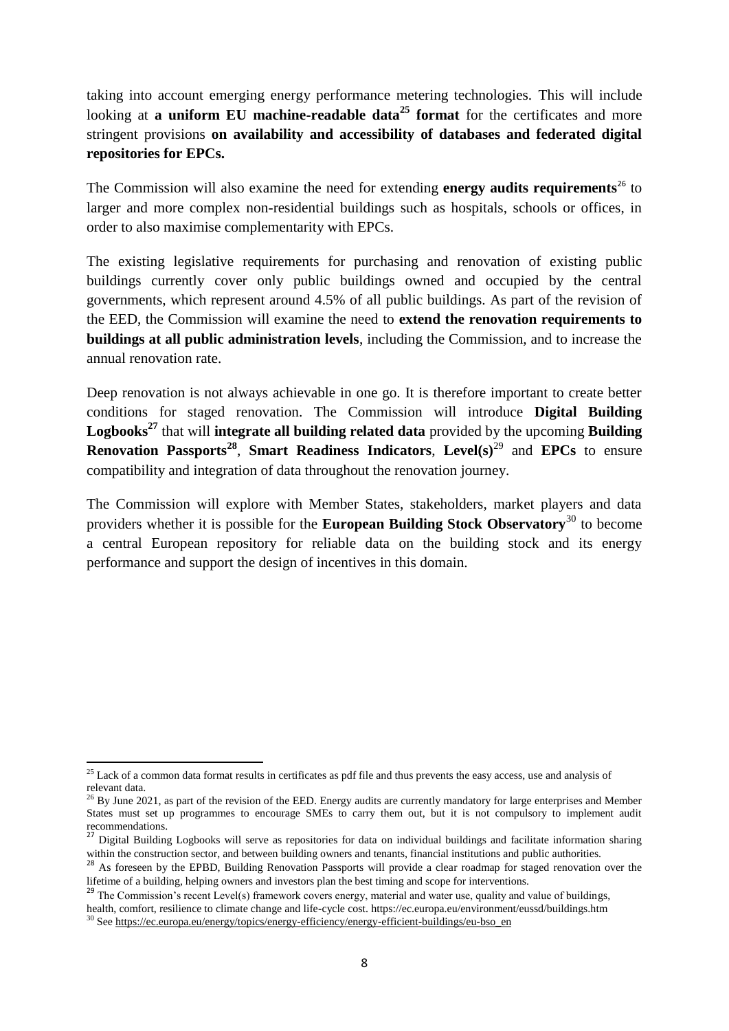taking into account emerging energy performance metering technologies. This will include looking at **a uniform EU machine-readable data<sup>25</sup> format** for the certificates and more stringent provisions **on availability and accessibility of databases and federated digital repositories for EPCs.** 

The Commission will also examine the need for extending **energy audits requirements**<sup>26</sup> to larger and more complex non-residential buildings such as hospitals, schools or offices, in order to also maximise complementarity with EPCs.

The existing legislative requirements for purchasing and renovation of existing public buildings currently cover only public buildings owned and occupied by the central governments, which represent around 4.5% of all public buildings. As part of the revision of the EED, the Commission will examine the need to **extend the renovation requirements to buildings at all public administration levels**, including the Commission, and to increase the annual renovation rate.

Deep renovation is not always achievable in one go. It is therefore important to create better conditions for staged renovation. The Commission will introduce **Digital Building Logbooks<sup>27</sup>** that will **integrate all building related data** provided by the upcoming **Building Renovation Passports<sup>28</sup>** , **Smart Readiness Indicators**, **Level(s)**<sup>29</sup> and **EPCs** to ensure compatibility and integration of data throughout the renovation journey.

The Commission will explore with Member States, stakeholders, market players and data providers whether it is possible for the **European Building Stock Observatory**<sup>30</sup> to become a central European repository for reliable data on the building stock and its energy performance and support the design of incentives in this domain.

<sup>1</sup>  $2<sup>25</sup>$  Lack of a common data format results in certificates as pdf file and thus prevents the easy access, use and analysis of relevant data.

 $^{26}$  By June 2021, as part of the revision of the EED. Energy audits are currently mandatory for large enterprises and Member States must set up programmes to encourage SMEs to carry them out, but it is not compulsory to implement audit recommendations.

<sup>27</sup> Digital Building Logbooks will serve as repositories for data on individual buildings and facilitate information sharing within the construction sector, and between building owners and tenants, financial institutions and public authorities.

<sup>&</sup>lt;sup>28</sup> As foreseen by the EPBD, Building Renovation Passports will provide a clear roadmap for staged renovation over the lifetime of a building, helping owners and investors plan the best timing and scope for interventions.

 $^{29}$  The Commission's recent Level(s) framework covers energy, material and water use, quality and value of buildings, health, comfort, resilience to climate change and life-cycle cost. https://ec.europa.eu/environment/eussd/buildings.htm <sup>3</sup> Se[e https://ec.europa.eu/energy/topics/energy-efficiency/energy-efficient-buildings/eu-bso\\_en](https://ec.europa.eu/energy/topics/energy-efficiency/energy-efficient-buildings/eu-bso_en)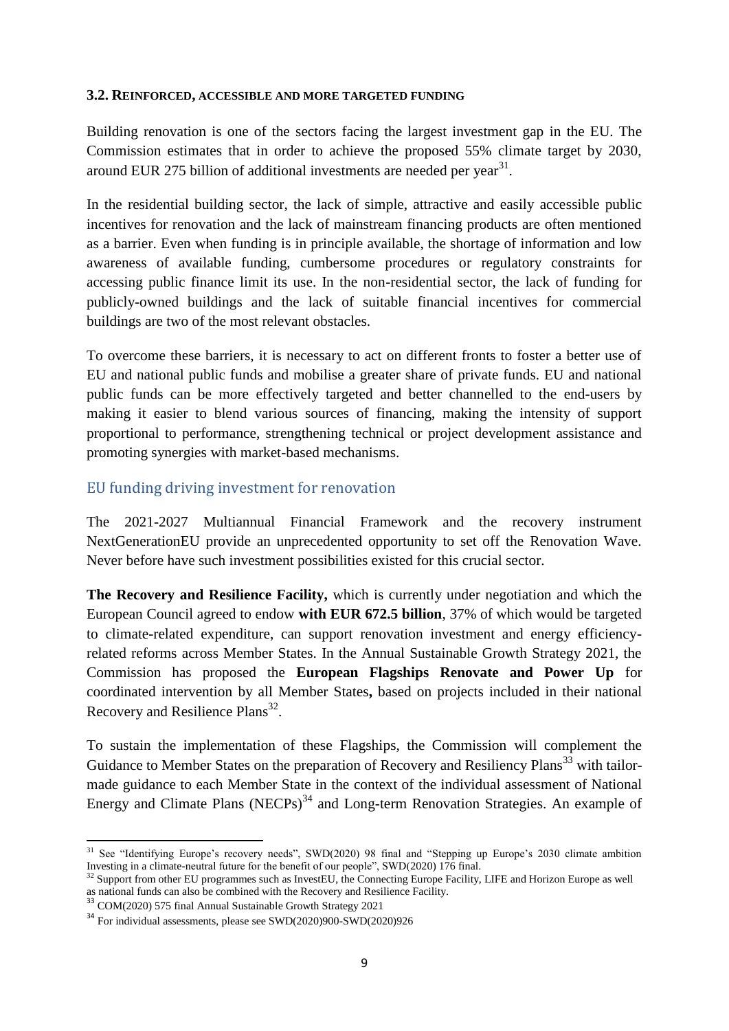#### **3.2. REINFORCED, ACCESSIBLE AND MORE TARGETED FUNDING**

Building renovation is one of the sectors facing the largest investment gap in the EU. The Commission estimates that in order to achieve the proposed 55% climate target by 2030, around EUR 275 billion of additional investments are needed per year $^{31}$ .

In the residential building sector, the lack of simple, attractive and easily accessible public incentives for renovation and the lack of mainstream financing products are often mentioned as a barrier. Even when funding is in principle available, the shortage of information and low awareness of available funding, cumbersome procedures or regulatory constraints for accessing public finance limit its use. In the non-residential sector, the lack of funding for publicly-owned buildings and the lack of suitable financial incentives for commercial buildings are two of the most relevant obstacles.

To overcome these barriers, it is necessary to act on different fronts to foster a better use of EU and national public funds and mobilise a greater share of private funds. EU and national public funds can be more effectively targeted and better channelled to the end-users by making it easier to blend various sources of financing, making the intensity of support proportional to performance, strengthening technical or project development assistance and promoting synergies with market-based mechanisms.

### EU funding driving investment for renovation

The 2021-2027 Multiannual Financial Framework and the recovery instrument NextGenerationEU provide an unprecedented opportunity to set off the Renovation Wave. Never before have such investment possibilities existed for this crucial sector.

**The Recovery and Resilience Facility,** which is currently under negotiation and which the European Council agreed to endow **with EUR 672.5 billion**, 37% of which would be targeted to climate-related expenditure, can support renovation investment and energy efficiencyrelated reforms across Member States. In the Annual Sustainable Growth Strategy 2021, the Commission has proposed the **European Flagships Renovate and Power Up** for coordinated intervention by all Member States**,** based on projects included in their national Recovery and Resilience Plans<sup>32</sup>.

To sustain the implementation of these Flagships, the Commission will complement the Guidance to Member States on the preparation of Recovery and Resiliency Plans<sup>33</sup> with tailormade guidance to each Member State in the context of the individual assessment of National Energy and Climate Plans (NECPs) $34$  and Long-term Renovation Strategies. An example of

 $31$  See "Identifying Europe's recovery needs", SWD(2020) 98 final and "Stepping up Europe's 2030 climate ambition Investing in a climate-neutral future for the benefit of our people", SWD(2020) 176 final.

<sup>&</sup>lt;sup>32</sup> Support from other EU programmes such as InvestEU, the Connecting Europe Facility, LIFE and Horizon Europe as well as national funds can also be combined with the Recovery and Resilience Facility.

<sup>&</sup>lt;sup>33</sup> COM(2020) 575 final Annual Sustainable Growth Strategy 2021

<sup>34</sup> For individual assessments, please see SWD(2020)900-SWD(2020)926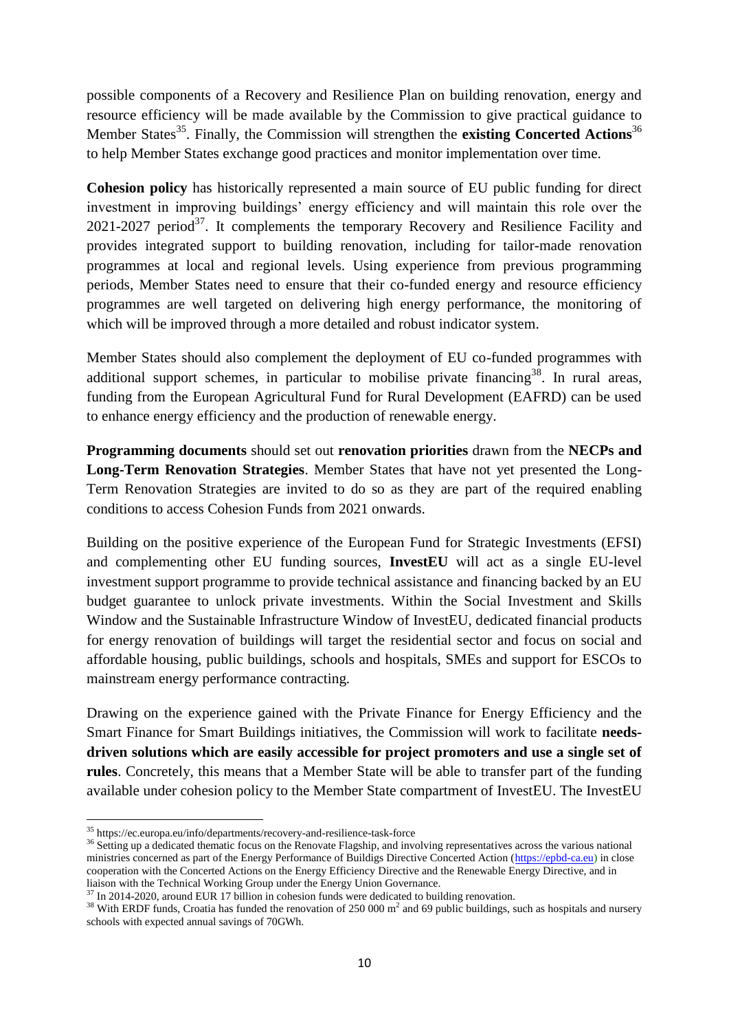possible components of a Recovery and Resilience Plan on building renovation, energy and resource efficiency will be made available by the Commission to give practical guidance to Member States<sup>35</sup>. Finally, the Commission will strengthen the **existing Concerted Actions**<sup>36</sup> to help Member States exchange good practices and monitor implementation over time.

**Cohesion policy** has historically represented a main source of EU public funding for direct investment in improving buildings' energy efficiency and will maintain this role over the  $2021-2027$  period<sup>37</sup>. It complements the temporary Recovery and Resilience Facility and provides integrated support to building renovation, including for tailor-made renovation programmes at local and regional levels. Using experience from previous programming periods, Member States need to ensure that their co-funded energy and resource efficiency programmes are well targeted on delivering high energy performance, the monitoring of which will be improved through a more detailed and robust indicator system.

Member States should also complement the deployment of EU co-funded programmes with additional support schemes, in particular to mobilise private financing<sup>38</sup>. In rural areas, funding from the European Agricultural Fund for Rural Development (EAFRD) can be used to enhance energy efficiency and the production of renewable energy.

**Programming documents** should set out **renovation priorities** drawn from the **NECPs and Long-Term Renovation Strategies**. Member States that have not yet presented the Long-Term Renovation Strategies are invited to do so as they are part of the required enabling conditions to access Cohesion Funds from 2021 onwards.

Building on the positive experience of the European Fund for Strategic Investments (EFSI) and complementing other EU funding sources, **InvestEU** will act as a single EU-level investment support programme to provide technical assistance and financing backed by an EU budget guarantee to unlock private investments. Within the Social Investment and Skills Window and the Sustainable Infrastructure Window of InvestEU, dedicated financial products for energy renovation of buildings will target the residential sector and focus on social and affordable housing, public buildings, schools and hospitals, SMEs and support for ESCOs to mainstream energy performance contracting.

Drawing on the experience gained with the Private Finance for Energy Efficiency and the Smart Finance for Smart Buildings initiatives, the Commission will work to facilitate **needsdriven solutions which are easily accessible for project promoters and use a single set of rules**. Concretely, this means that a Member State will be able to transfer part of the funding available under cohesion policy to the Member State compartment of InvestEU. The InvestEU

**<sup>.</sup>** <sup>35</sup> https://ec.europa.eu/info/departments/recovery-and-resilience-task-force

<sup>&</sup>lt;sup>36</sup> Setting up a dedicated thematic focus on the Renovate Flagship, and involving representatives across the various national ministries concerned as part of the Energy Performance of Buildigs Directive Concerted Action [\(https://epbd-ca.eu\)](https://epbd-ca.eu/) in close cooperation with the Concerted Actions on the Energy Efficiency Directive and the Renewable Energy Directive, and in liaison with the Technical Working Group under the Energy Union Governance.

<sup>&</sup>lt;sup>37</sup> In 2014-2020, around EUR 17 billion in cohesion funds were dedicated to building renovation.

<sup>&</sup>lt;sup>38</sup> With ERDF funds, Croatia has funded the renovation of 250 000 m<sup>2</sup> and 69 public buildings, such as hospitals and nursery schools with expected annual savings of 70GWh.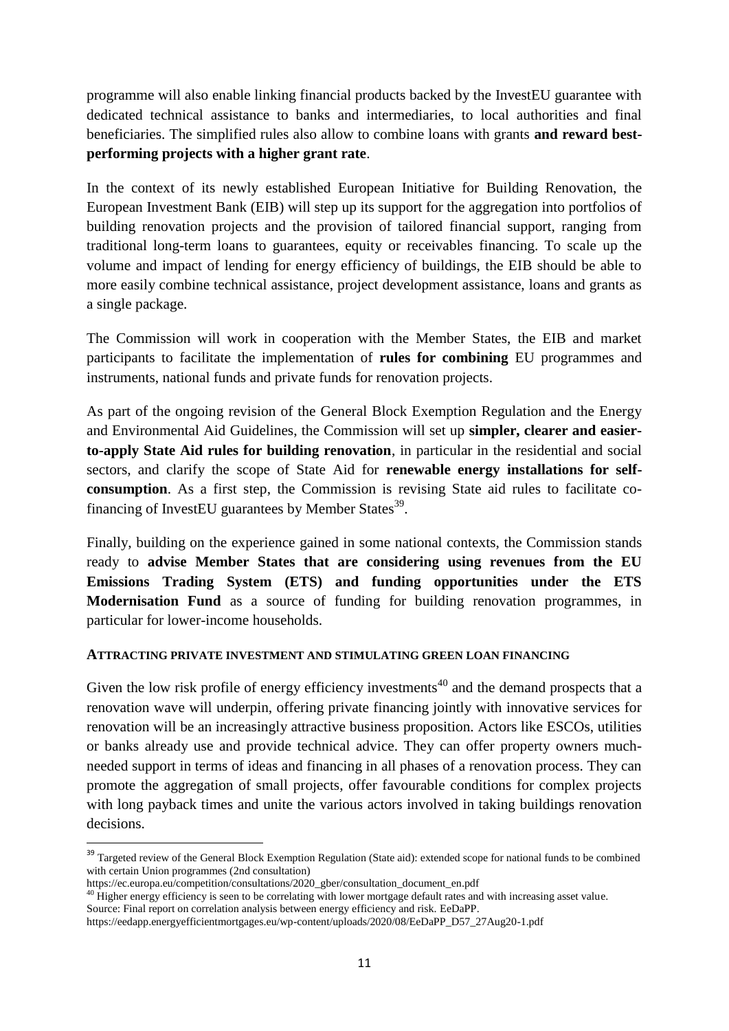programme will also enable linking financial products backed by the InvestEU guarantee with dedicated technical assistance to banks and intermediaries, to local authorities and final beneficiaries. The simplified rules also allow to combine loans with grants **and reward bestperforming projects with a higher grant rate**.

In the context of its newly established European Initiative for Building Renovation, the European Investment Bank (EIB) will step up its support for the aggregation into portfolios of building renovation projects and the provision of tailored financial support, ranging from traditional long-term loans to guarantees, equity or receivables financing. To scale up the volume and impact of lending for energy efficiency of buildings, the EIB should be able to more easily combine technical assistance, project development assistance, loans and grants as a single package.

The Commission will work in cooperation with the Member States, the EIB and market participants to facilitate the implementation of **rules for combining** EU programmes and instruments, national funds and private funds for renovation projects.

As part of the ongoing revision of the General Block Exemption Regulation and the Energy and Environmental Aid Guidelines, the Commission will set up **simpler, clearer and easierto-apply State Aid rules for building renovation**, in particular in the residential and social sectors, and clarify the scope of State Aid for **renewable energy installations for selfconsumption**. As a first step, the Commission is revising State aid rules to facilitate cofinancing of InvestEU guarantees by Member States $^{39}$ .

Finally, building on the experience gained in some national contexts, the Commission stands ready to **advise Member States that are considering using revenues from the EU Emissions Trading System (ETS) and funding opportunities under the ETS Modernisation Fund** as a source of funding for building renovation programmes, in particular for lower-income households.

## **ATTRACTING PRIVATE INVESTMENT AND STIMULATING GREEN LOAN FINANCING**

Given the low risk profile of energy efficiency investments<sup>40</sup> and the demand prospects that a renovation wave will underpin, offering private financing jointly with innovative services for renovation will be an increasingly attractive business proposition. Actors like ESCOs, utilities or banks already use and provide technical advice. They can offer property owners muchneeded support in terms of ideas and financing in all phases of a renovation process. They can promote the aggregation of small projects, offer favourable conditions for complex projects with long payback times and unite the various actors involved in taking buildings renovation decisions.

<sup>&</sup>lt;sup>39</sup> Targeted review of the General Block Exemption Regulation (State aid): extended scope for national funds to be combined with certain Union programmes (2nd consultation)

https://ec.europa.eu/competition/consultations/2020\_gber/consultation\_document\_en.pdf

 $^{40}$  Higher energy efficiency is seen to be correlating with lower mortgage default rates and with increasing asset value.

Source: Final report on correlation analysis between energy efficiency and risk. EeDaPP.

https://eedapp.energyefficientmortgages.eu/wp-content/uploads/2020/08/EeDaPP\_D57\_27Aug20-1.pdf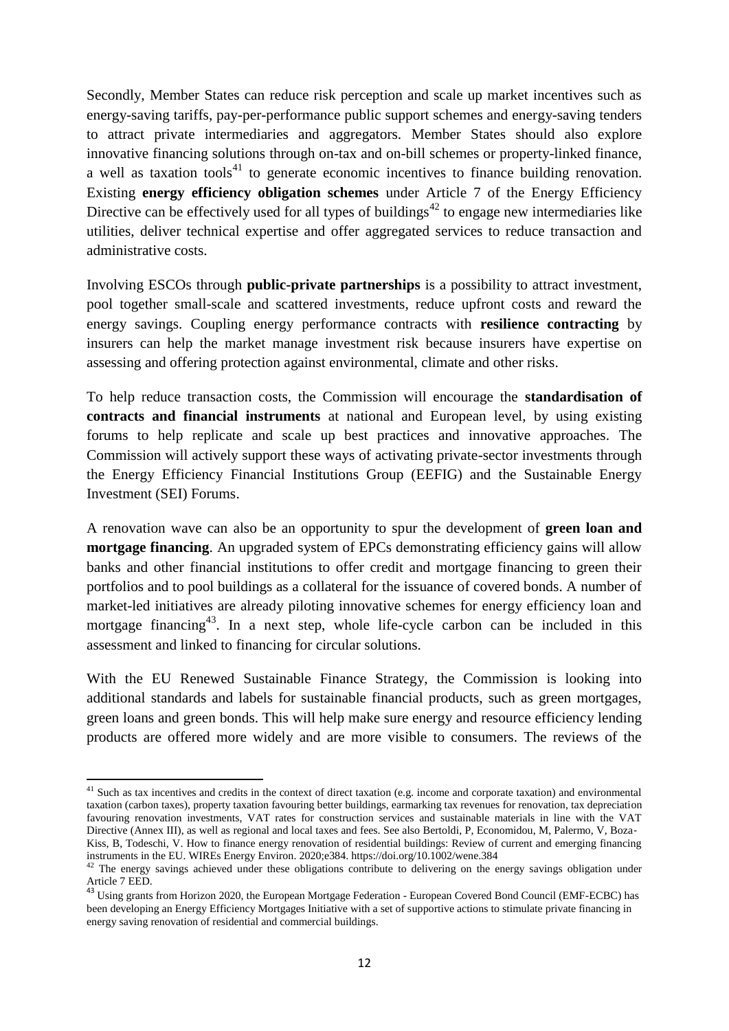Secondly, Member States can reduce risk perception and scale up market incentives such as energy-saving tariffs, pay-per-performance public support schemes and energy-saving tenders to attract private intermediaries and aggregators. Member States should also explore innovative financing solutions through on-tax and on-bill schemes or property-linked finance, a well as taxation tools<sup>41</sup> to generate economic incentives to finance building renovation. Existing **energy efficiency obligation schemes** under Article 7 of the Energy Efficiency Directive can be effectively used for all types of buildings<sup>42</sup> to engage new intermediaries like utilities, deliver technical expertise and offer aggregated services to reduce transaction and administrative costs.

Involving ESCOs through **public-private partnerships** is a possibility to attract investment, pool together small-scale and scattered investments, reduce upfront costs and reward the energy savings. Coupling energy performance contracts with **resilience contracting** by insurers can help the market manage investment risk because insurers have expertise on assessing and offering protection against environmental, climate and other risks.

To help reduce transaction costs, the Commission will encourage the **standardisation of contracts and financial instruments** at national and European level, by using existing forums to help replicate and scale up best practices and innovative approaches. The Commission will actively support these ways of activating private-sector investments through the Energy Efficiency Financial Institutions Group (EEFIG) and the Sustainable Energy Investment (SEI) Forums.

A renovation wave can also be an opportunity to spur the development of **green loan and mortgage financing**. An upgraded system of EPCs demonstrating efficiency gains will allow banks and other financial institutions to offer credit and mortgage financing to green their portfolios and to pool buildings as a collateral for the issuance of covered bonds. A number of market-led initiatives are already piloting innovative schemes for energy efficiency loan and mortgage financing<sup>43</sup>. In a next step, whole life-cycle carbon can be included in this assessment and linked to financing for circular solutions.

With the EU Renewed Sustainable Finance Strategy, the Commission is looking into additional standards and labels for sustainable financial products, such as green mortgages, green loans and green bonds. This will help make sure energy and resource efficiency lending products are offered more widely and are more visible to consumers. The reviews of the

<sup>&</sup>lt;sup>41</sup> Such as tax incentives and credits in the context of direct taxation (e.g. income and corporate taxation) and environmental taxation (carbon taxes), property taxation favouring better buildings, earmarking tax revenues for renovation, tax depreciation favouring renovation investments, VAT rates for construction services and sustainable materials in line with the VAT Directive (Annex III), as well as regional and local taxes and fees. See also Bertoldi, P, Economidou, M, Palermo, V, Boza-Kiss, B, Todeschi, V. How to finance energy renovation of residential buildings: Review of current and emerging financing instruments in the EU. WIREs Energy Environ. 2020;e384. https://doi.org/10.1002/wene.384

<sup>&</sup>lt;sup>42</sup> The energy savings achieved under these obligations contribute to delivering on the energy savings obligation under Article 7 EED.

<sup>&</sup>lt;sup>43</sup> Using grants from Horizon 2020, the European Mortgage Federation - European Covered Bond Council (EMF-ECBC) has been developing an Energy Efficiency Mortgages Initiative with a set of supportive actions to stimulate private financing in energy saving renovation of residential and commercial buildings.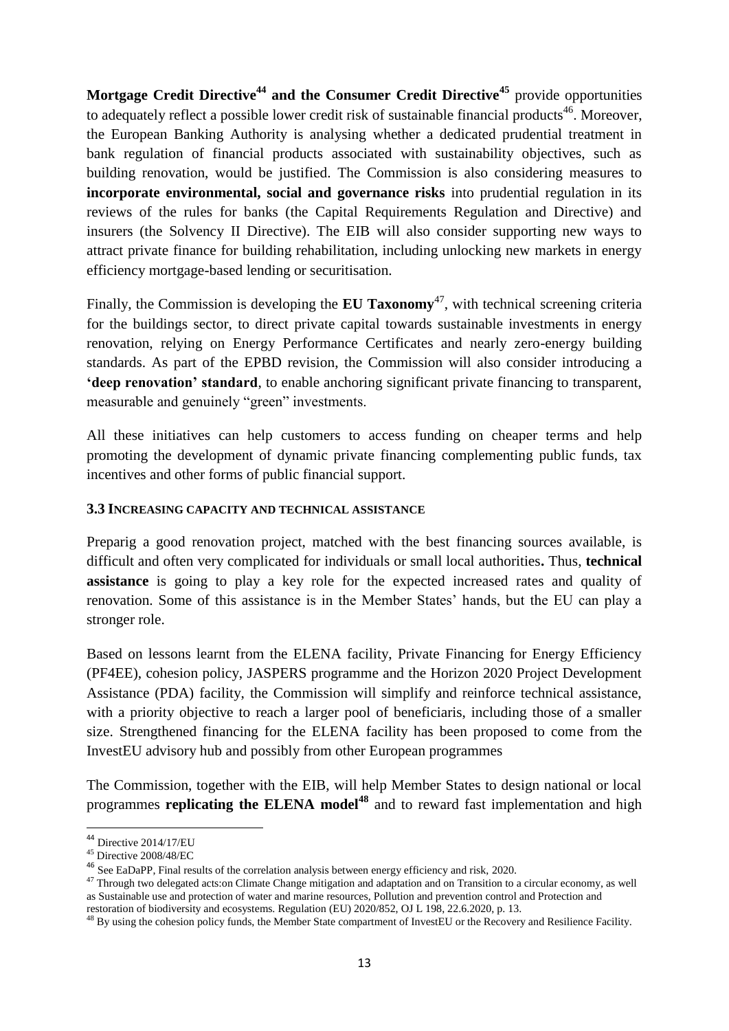**Mortgage Credit Directive<sup>44</sup> and the Consumer Credit Directive<sup>45</sup>** provide opportunities to adequately reflect a possible lower credit risk of sustainable financial products<sup>46</sup>. Moreover, the European Banking Authority is analysing whether a dedicated prudential treatment in bank regulation of financial products associated with sustainability objectives, such as building renovation, would be justified. The Commission is also considering measures to **incorporate environmental, social and governance risks** into prudential regulation in its reviews of the rules for banks (the Capital Requirements Regulation and Directive) and insurers (the Solvency II Directive). The EIB will also consider supporting new ways to attract private finance for building rehabilitation, including unlocking new markets in energy efficiency mortgage-based lending or securitisation.

Finally, the Commission is developing the **EU Taxonomy**<sup>47</sup>, with technical screening criteria for the buildings sector, to direct private capital towards sustainable investments in energy renovation, relying on Energy Performance Certificates and nearly zero-energy building standards. As part of the EPBD revision, the Commission will also consider introducing a **'deep renovation' standard**, to enable anchoring significant private financing to transparent, measurable and genuinely "green" investments.

All these initiatives can help customers to access funding on cheaper terms and help promoting the development of dynamic private financing complementing public funds, tax incentives and other forms of public financial support.

### **3.3 INCREASING CAPACITY AND TECHNICAL ASSISTANCE**

Preparig a good renovation project, matched with the best financing sources available, is difficult and often very complicated for individuals or small local authorities**.** Thus, **technical assistance** is going to play a key role for the expected increased rates and quality of renovation. Some of this assistance is in the Member States' hands, but the EU can play a stronger role.

Based on lessons learnt from the ELENA facility, Private Financing for Energy Efficiency (PF4EE), cohesion policy, JASPERS programme and the Horizon 2020 Project Development Assistance (PDA) facility, the Commission will simplify and reinforce technical assistance, with a priority objective to reach a larger pool of beneficiaris, including those of a smaller size. Strengthened financing for the ELENA facility has been proposed to come from the InvestEU advisory hub and possibly from other European programmes

The Commission, together with the EIB, will help Member States to design national or local programmes **replicating the ELENA model<sup>48</sup>** and to reward fast implementation and high

 $\overline{\phantom{a}}$ 

 $44$  Directive 2014/17/EU

<sup>45</sup> Directive 2008/48/EC

<sup>46</sup> See EaDaPP, Final results of the correlation analysis between energy efficiency and risk, 2020.

<sup>&</sup>lt;sup>47</sup> Through two delegated acts:on Climate Change mitigation and adaptation and on Transition to a circular economy, as well as Sustainable use and protection of water and marine resources, Pollution and prevention control and Protection and

restoration of biodiversity and ecosystems. Regulation (EU) 2020/852, OJ L 198, 22.6.2020, p. 13.

 $48$  By using the cohesion policy funds, the Member State compartment of InvestEU or the Recovery and Resilience Facility.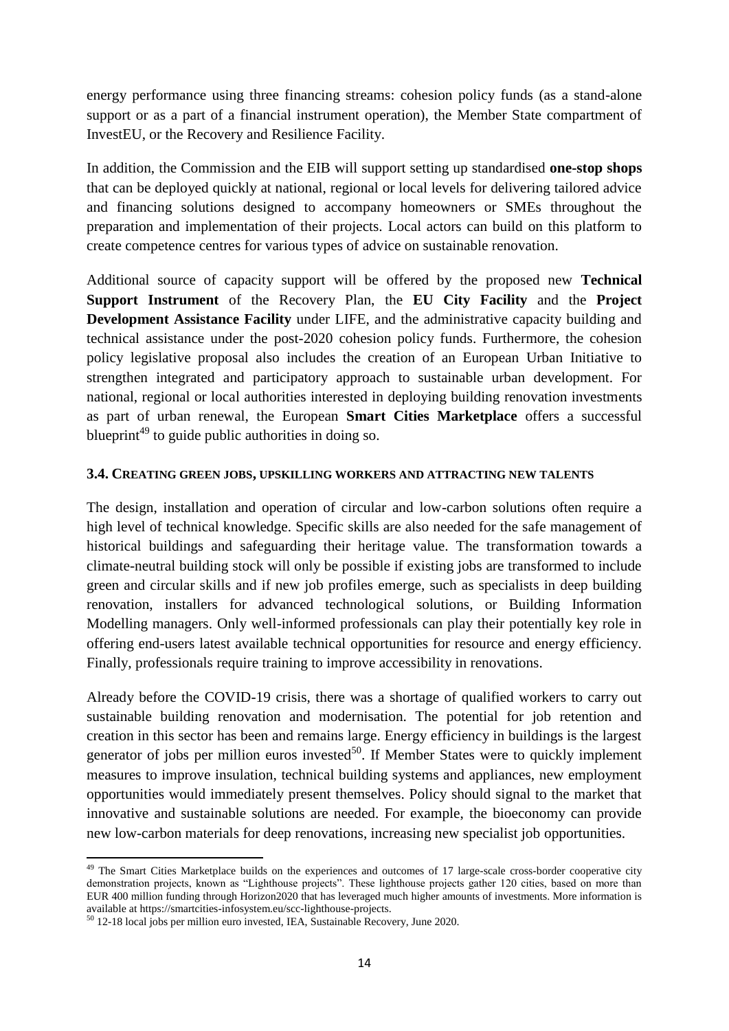energy performance using three financing streams: cohesion policy funds (as a stand-alone support or as a part of a financial instrument operation), the Member State compartment of InvestEU, or the Recovery and Resilience Facility.

In addition, the Commission and the EIB will support setting up standardised **one-stop shops** that can be deployed quickly at national, regional or local levels for delivering tailored advice and financing solutions designed to accompany homeowners or SMEs throughout the preparation and implementation of their projects. Local actors can build on this platform to create competence centres for various types of advice on sustainable renovation.

Additional source of capacity support will be offered by the proposed new **Technical Support Instrument** of the Recovery Plan, the **EU City Facility** and the **Project Development Assistance Facility** under LIFE, and the administrative capacity building and technical assistance under the post-2020 cohesion policy funds. Furthermore, the cohesion policy legislative proposal also includes the creation of an European Urban Initiative to strengthen integrated and participatory approach to sustainable urban development. For national, regional or local authorities interested in deploying building renovation investments as part of urban renewal, the European **Smart Cities Marketplace** offers a successful blueprint<sup> $49$ </sup> to guide public authorities in doing so.

### **3.4. CREATING GREEN JOBS, UPSKILLING WORKERS AND ATTRACTING NEW TALENTS**

The design, installation and operation of circular and low-carbon solutions often require a high level of technical knowledge. Specific skills are also needed for the safe management of historical buildings and safeguarding their heritage value. The transformation towards a climate-neutral building stock will only be possible if existing jobs are transformed to include green and circular skills and if new job profiles emerge, such as specialists in deep building renovation, installers for advanced technological solutions, or Building Information Modelling managers. Only well-informed professionals can play their potentially key role in offering end-users latest available technical opportunities for resource and energy efficiency. Finally, professionals require training to improve accessibility in renovations.

Already before the COVID-19 crisis, there was a shortage of qualified workers to carry out sustainable building renovation and modernisation. The potential for job retention and creation in this sector has been and remains large. Energy efficiency in buildings is the largest generator of jobs per million euros invested $50$ . If Member States were to quickly implement measures to improve insulation, technical building systems and appliances, new employment opportunities would immediately present themselves. Policy should signal to the market that innovative and sustainable solutions are needed. For example, the bioeconomy can provide new low-carbon materials for deep renovations, increasing new specialist job opportunities.

 $\overline{\phantom{a}}$ 

<sup>&</sup>lt;sup>49</sup> The Smart Cities Marketplace builds on the experiences and outcomes of 17 large-scale cross-border cooperative city demonstration projects, known as "Lighthouse projects". These lighthouse projects gather 120 cities, based on more than EUR 400 million funding through Horizon2020 that has leveraged much higher amounts of investments. More information is available at https://smartcities-infosystem.eu/scc-lighthouse-projects.

<sup>50</sup> 12-18 local jobs per million euro invested, IEA, Sustainable Recovery, June 2020.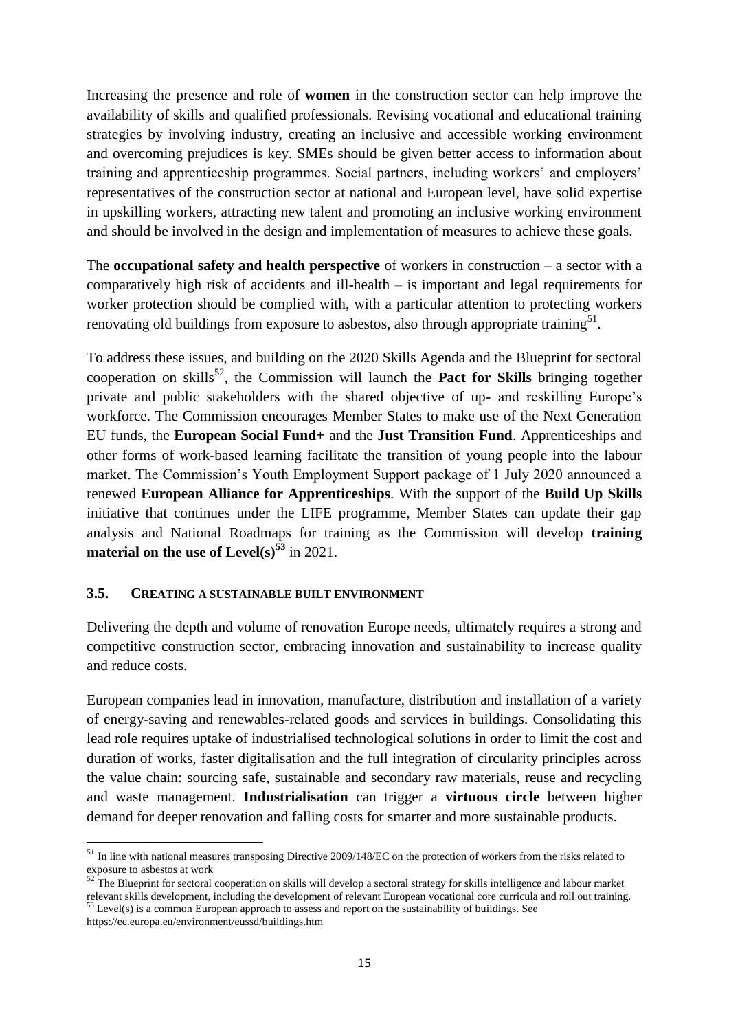Increasing the presence and role of **women** in the construction sector can help improve the availability of skills and qualified professionals. Revising vocational and educational training strategies by involving industry, creating an inclusive and accessible working environment and overcoming prejudices is key. SMEs should be given better access to information about training and apprenticeship programmes. Social partners, including workers' and employers' representatives of the construction sector at national and European level, have solid expertise in upskilling workers, attracting new talent and promoting an inclusive working environment and should be involved in the design and implementation of measures to achieve these goals.

The **occupational safety and health perspective** of workers in construction – a sector with a comparatively high risk of accidents and ill-health – is important and legal requirements for worker protection should be complied with, with a particular attention to protecting workers renovating old buildings from exposure to asbestos, also through appropriate training<sup>51</sup>.

To address these issues, and building on the 2020 Skills Agenda and the Blueprint for sectoral cooperation on skills<sup>52</sup>, the Commission will launch the **Pact for Skills** bringing together private and public stakeholders with the shared objective of up- and reskilling Europe's workforce. The Commission encourages Member States to make use of the Next Generation EU funds, the **European Social Fund+** and the **Just Transition Fund**. Apprenticeships and other forms of work-based learning facilitate the transition of young people into the labour market. The Commission's Youth Employment Support package of 1 July 2020 announced a renewed **European Alliance for Apprenticeships**. With the support of the **Build Up Skills** initiative that continues under the LIFE programme, Member States can update their gap analysis and National Roadmaps for training as the Commission will develop **training material on the use of Level(s)<sup>53</sup>** in 2021.

### **3.5. CREATING A SUSTAINABLE BUILT ENVIRONMENT**

Delivering the depth and volume of renovation Europe needs, ultimately requires a strong and competitive construction sector, embracing innovation and sustainability to increase quality and reduce costs.

European companies lead in innovation, manufacture, distribution and installation of a variety of energy-saving and renewables-related goods and services in buildings. Consolidating this lead role requires uptake of industrialised technological solutions in order to limit the cost and duration of works, faster digitalisation and the full integration of circularity principles across the value chain: sourcing safe, sustainable and secondary raw materials, reuse and recycling and waste management. **Industrialisation** can trigger a **virtuous circle** between higher demand for deeper renovation and falling costs for smarter and more sustainable products.

<sup>&</sup>lt;sup>51</sup> In line with national measures transposing Directive 2009/148/EC on the protection of workers from the risks related to exposure to asbestos at work

 $52$ <sup> $\text{L}$ </sup>The Blueprint for sectoral cooperation on skills will develop a sectoral strategy for skills intelligence and labour market relevant skills development, including the development of relevant European vocational core curricula and roll out training.  $53$  Level(s) is a common European approach to assess and report on the sustainability of buildings. See

<https://ec.europa.eu/environment/eussd/buildings.htm>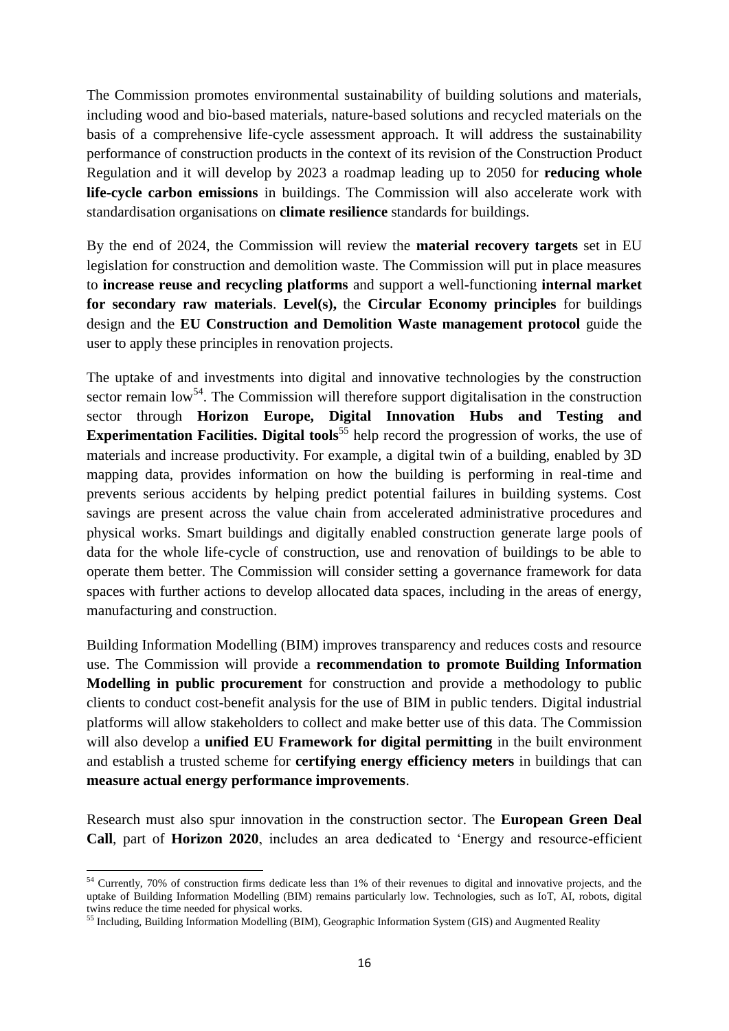The Commission promotes environmental sustainability of building solutions and materials, including wood and bio-based materials, nature-based solutions and recycled materials on the basis of a comprehensive life-cycle assessment approach. It will address the sustainability performance of construction products in the context of its revision of the Construction Product Regulation and it will develop by 2023 a roadmap leading up to 2050 for **reducing whole life-cycle carbon emissions** in buildings. The Commission will also accelerate work with standardisation organisations on **climate resilience** standards for buildings.

By the end of 2024, the Commission will review the **material recovery targets** set in EU legislation for construction and demolition waste. The Commission will put in place measures to **increase reuse and recycling platforms** and support a well-functioning **internal market for secondary raw materials**. **Level(s),** the **Circular Economy principles** for buildings design and the **EU Construction and Demolition Waste management protocol** guide the user to apply these principles in renovation projects.

The uptake of and investments into digital and innovative technologies by the construction sector remain  $low<sup>54</sup>$ . The Commission will therefore support digitalisation in the construction sector through **Horizon Europe, Digital Innovation Hubs and Testing and Experimentation Facilities. Digital tools<sup>55</sup> help record the progression of works, the use of** materials and increase productivity. For example, a digital twin of a building, enabled by 3D mapping data, provides information on how the building is performing in real-time and prevents serious accidents by helping predict potential failures in building systems. Cost savings are present across the value chain from accelerated administrative procedures and physical works. Smart buildings and digitally enabled construction generate large pools of data for the whole life-cycle of construction, use and renovation of buildings to be able to operate them better. The Commission will consider setting a governance framework for data spaces with further actions to develop allocated data spaces, including in the areas of energy, manufacturing and construction.

Building Information Modelling (BIM) improves transparency and reduces costs and resource use. The Commission will provide a **recommendation to promote Building Information Modelling in public procurement** for construction and provide a methodology to public clients to conduct cost-benefit analysis for the use of BIM in public tenders. Digital industrial platforms will allow stakeholders to collect and make better use of this data. The Commission will also develop a **unified EU Framework for digital permitting** in the built environment and establish a trusted scheme for **certifying energy efficiency meters** in buildings that can **measure actual energy performance improvements**.

Research must also spur innovation in the construction sector. The **European Green Deal Call**, part of **Horizon 2020**, includes an area dedicated to 'Energy and resource-efficient

<sup>1</sup> <sup>54</sup> Currently, 70% of construction firms dedicate less than 1% of their revenues to digital and innovative projects, and the uptake of Building Information Modelling (BIM) remains particularly low. Technologies, such as IoT, AI, robots, digital twins reduce the time needed for physical works.

<sup>&</sup>lt;sup>55</sup> Including, Building Information Modelling (BIM), Geographic Information System (GIS) and Augmented Reality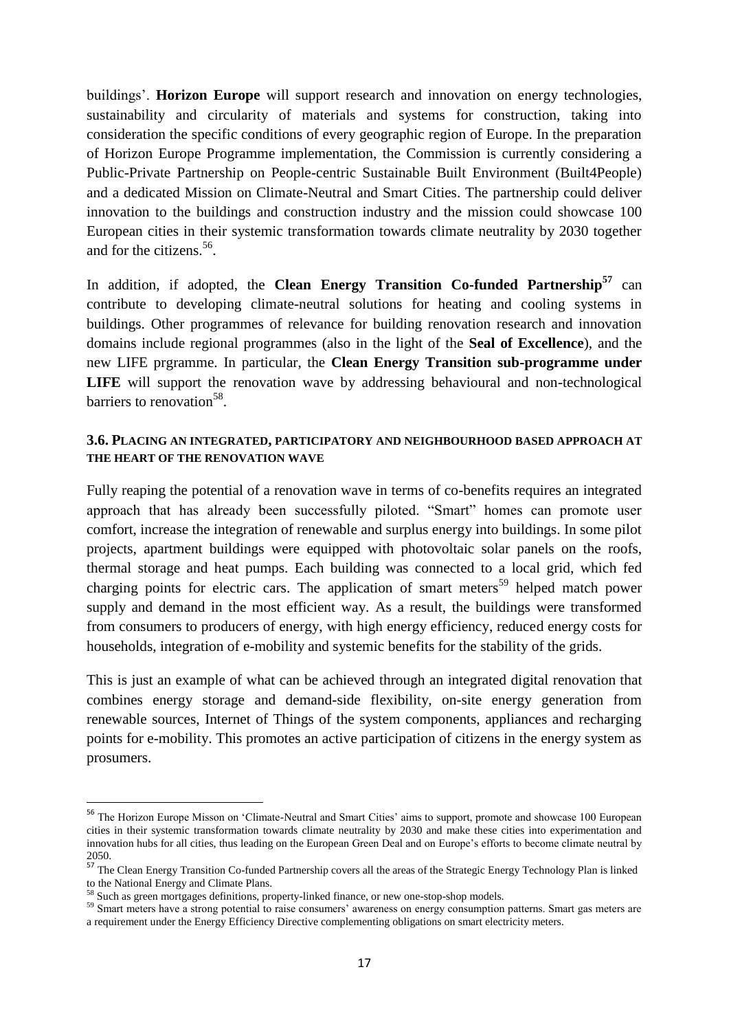buildings'. **Horizon Europe** will support research and innovation on energy technologies, sustainability and circularity of materials and systems for construction, taking into consideration the specific conditions of every geographic region of Europe. In the preparation of Horizon Europe Programme implementation, the Commission is currently considering a Public-Private Partnership on People-centric Sustainable Built Environment (Built4People) and a dedicated Mission on Climate-Neutral and Smart Cities. The partnership could deliver innovation to the buildings and construction industry and the mission could showcase 100 European cities in their systemic transformation towards climate neutrality by 2030 together and for the citizens.<sup>56</sup>.

In addition, if adopted, the **Clean Energy Transition Co-funded Partnership<sup>57</sup>** can contribute to developing climate-neutral solutions for heating and cooling systems in buildings. Other programmes of relevance for building renovation research and innovation domains include regional programmes (also in the light of the **Seal of Excellence**), and the new LIFE prgramme. In particular, the **Clean Energy Transition sub-programme under**  LIFE will support the renovation wave by addressing behavioural and non-technological barriers to renovation<sup>58</sup>.

### **3.6. PLACING AN INTEGRATED, PARTICIPATORY AND NEIGHBOURHOOD BASED APPROACH AT THE HEART OF THE RENOVATION WAVE**

Fully reaping the potential of a renovation wave in terms of co-benefits requires an integrated approach that has already been successfully piloted. "Smart" homes can promote user comfort, increase the integration of renewable and surplus energy into buildings. In some pilot projects, apartment buildings were equipped with photovoltaic solar panels on the roofs, thermal storage and heat pumps. Each building was connected to a local grid, which fed charging points for electric cars. The application of smart meters<sup>59</sup> helped match power supply and demand in the most efficient way. As a result, the buildings were transformed from consumers to producers of energy, with high energy efficiency, reduced energy costs for households, integration of e-mobility and systemic benefits for the stability of the grids.

This is just an example of what can be achieved through an integrated digital renovation that combines energy storage and demand-side flexibility, on-site energy generation from renewable sources, Internet of Things of the system components, appliances and recharging points for e-mobility. This promotes an active participation of citizens in the energy system as prosumers.

<sup>&</sup>lt;sup>56</sup> The Horizon Europe Misson on 'Climate-Neutral and Smart Cities' aims to support, promote and showcase 100 European cities in their systemic transformation towards climate neutrality by 2030 and make these cities into experimentation and innovation hubs for all cities, thus leading on the European Green Deal and on Europe's efforts to become climate neutral by 2050.

<sup>&</sup>lt;sup>57</sup> The Clean Energy Transition Co-funded Partnership covers all the areas of the Strategic Energy Technology Plan is linked to the National Energy and Climate Plans.

<sup>&</sup>lt;sup>58</sup> Such as green mortgages definitions, property-linked finance, or new one-stop-shop models.

<sup>&</sup>lt;sup>59</sup> Smart meters have a strong potential to raise consumers' awareness on energy consumption patterns. Smart gas meters are a requirement under the Energy Efficiency Directive complementing obligations on smart electricity meters.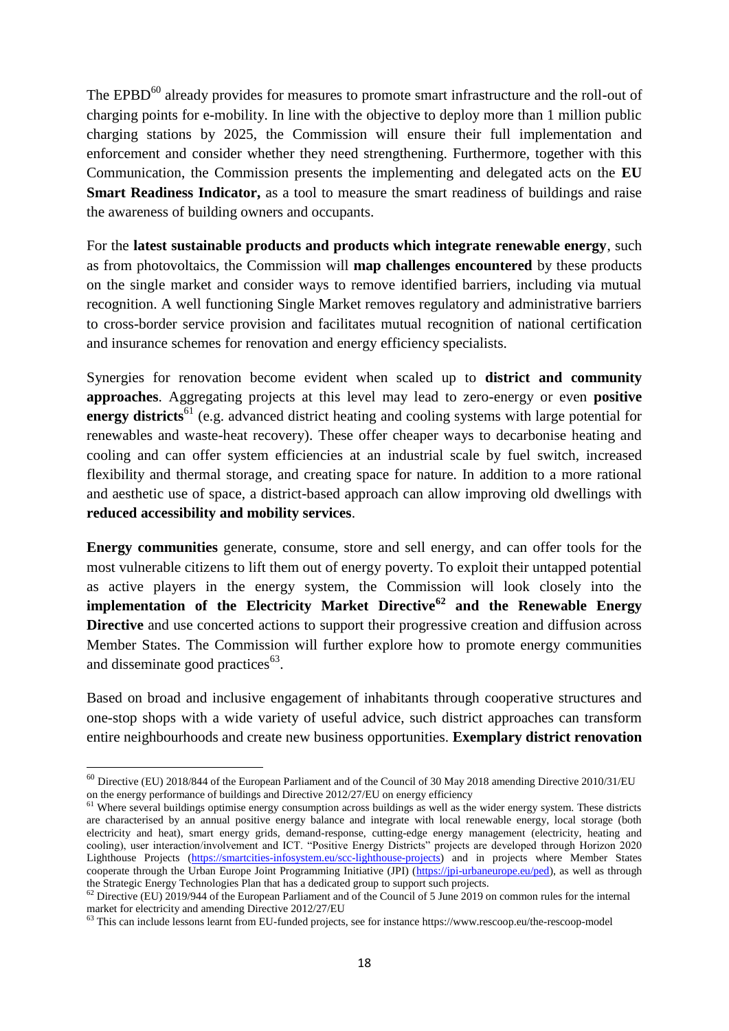The EPBD $^{60}$  already provides for measures to promote smart infrastructure and the roll-out of charging points for e-mobility. In line with the objective to deploy more than 1 million public charging stations by 2025, the Commission will ensure their full implementation and enforcement and consider whether they need strengthening. Furthermore, together with this Communication, the Commission presents the implementing and delegated acts on the **EU Smart Readiness Indicator,** as a tool to measure the smart readiness of buildings and raise the awareness of building owners and occupants.

For the **latest sustainable products and products which integrate renewable energy**, such as from photovoltaics, the Commission will **map challenges encountered** by these products on the single market and consider ways to remove identified barriers, including via mutual recognition. A well functioning Single Market removes regulatory and administrative barriers to cross-border service provision and facilitates mutual recognition of national certification and insurance schemes for renovation and energy efficiency specialists.

Synergies for renovation become evident when scaled up to **district and community approaches**. Aggregating projects at this level may lead to zero-energy or even **positive energy districts**<sup>61</sup> (e.g. advanced district heating and cooling systems with large potential for renewables and waste-heat recovery). These offer cheaper ways to decarbonise heating and cooling and can offer system efficiencies at an industrial scale by fuel switch, increased flexibility and thermal storage, and creating space for nature. In addition to a more rational and aesthetic use of space, a district-based approach can allow improving old dwellings with **reduced accessibility and mobility services**.

**Energy communities** generate, consume, store and sell energy, and can offer tools for the most vulnerable citizens to lift them out of energy poverty. To exploit their untapped potential as active players in the energy system, the Commission will look closely into the **implementation of the Electricity Market Directive<sup>62</sup> and the Renewable Energy Directive** and use concerted actions to support their progressive creation and diffusion across Member States. The Commission will further explore how to promote energy communities and disseminate good practices<sup>63</sup>.

Based on broad and inclusive engagement of inhabitants through cooperative structures and one-stop shops with a wide variety of useful advice, such district approaches can transform entire neighbourhoods and create new business opportunities. **Exemplary district renovation** 

1

 $^{60}$  Directive (EU) 2018/844 of the European Parliament and of the Council of 30 May 2018 amending Directive 2010/31/EU on the energy performance of buildings and Directive 2012/27/EU on energy efficiency

<sup>&</sup>lt;sup>61</sup> Where several buildings optimise energy consumption across buildings as well as the wider energy system. These districts are characterised by an annual positive energy balance and integrate with local renewable energy, local storage (both electricity and heat), smart energy grids, demand-response, cutting-edge energy management (electricity, heating and electricity and neat), sinart energy grus, usinanu-response, cutting-enger energy management (eccentric), meaning and cooling), user interaction/involvement and ICT. "Positive Energy Districts" projects are developed throu Lighthouse Projects [\(https://smartcities-infosystem.eu/scc-lighthouse-projects\)](https://smartcities-infosystem.eu/scc-lighthouse-projects) and in projects where Member States cooperate through the Urban Europe Joint Programming Initiative (JPI) [\(https://jpi-urbaneurope.eu/ped\)](https://jpi-urbaneurope.eu/ped), as well as through the Strategic Energy Technologies Plan that has a dedicated group to support such projects.

 $62$  Directive (EU)  $2019/944$  of the European Parliament and of the Council of 5 June 2019 on common rules for the internal market for electricity and amending Directive 2012/27/EU

 $63$  This can include lessons learnt from EU-funded projects, see for instance https://www.rescoop.eu/the-rescoop-model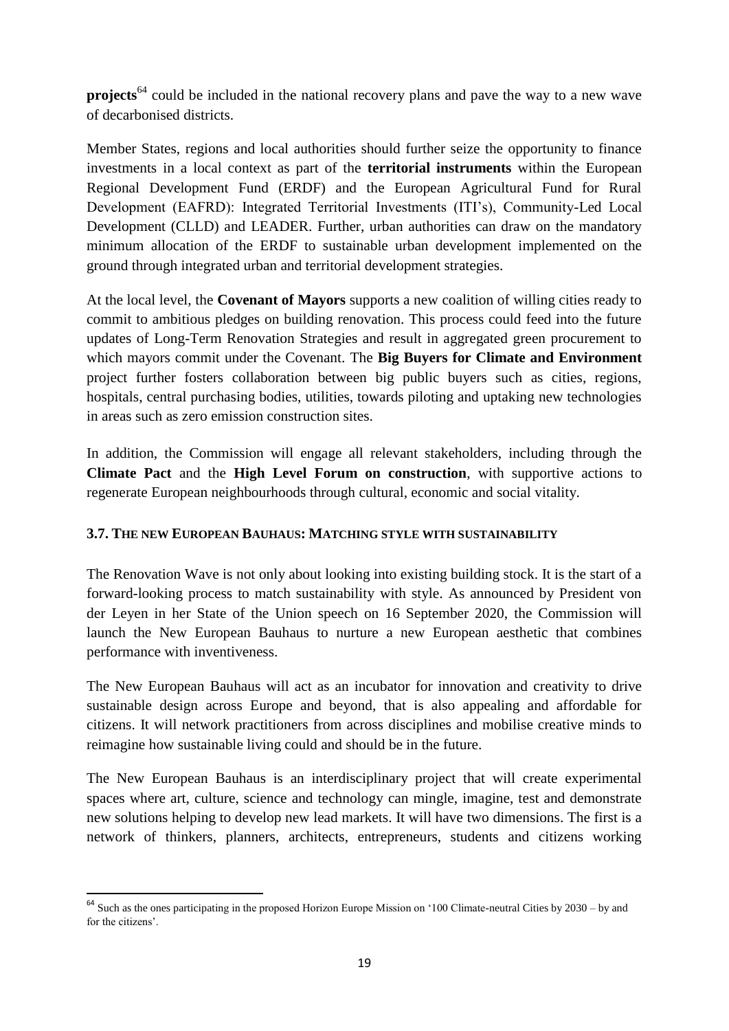**projects**<sup>64</sup> could be included in the national recovery plans and pave the way to a new wave of decarbonised districts.

Member States, regions and local authorities should further seize the opportunity to finance investments in a local context as part of the **territorial instruments** within the European Regional Development Fund (ERDF) and the European Agricultural Fund for Rural Development (EAFRD): Integrated Territorial Investments (ITI's), Community-Led Local Development (CLLD) and LEADER. Further, urban authorities can draw on the mandatory minimum allocation of the ERDF to sustainable urban development implemented on the ground through integrated urban and territorial development strategies.

At the local level, the **Covenant of Mayors** supports a new coalition of willing cities ready to commit to ambitious pledges on building renovation. This process could feed into the future updates of Long-Term Renovation Strategies and result in aggregated green procurement to which mayors commit under the Covenant. The **Big Buyers for Climate and Environment** project further fosters collaboration between big public buyers such as cities, regions, hospitals, central purchasing bodies, utilities, towards piloting and uptaking new technologies in areas such as zero emission construction sites.

In addition, the Commission will engage all relevant stakeholders, including through the **Climate Pact** and the **High Level Forum on construction**, with supportive actions to regenerate European neighbourhoods through cultural, economic and social vitality.

### **3.7. THE NEW EUROPEAN BAUHAUS: MATCHING STYLE WITH SUSTAINABILITY**

The Renovation Wave is not only about looking into existing building stock. It is the start of a forward-looking process to match sustainability with style. As announced by President von der Leyen in her State of the Union speech on 16 September 2020, the Commission will launch the New European Bauhaus to nurture a new European aesthetic that combines performance with inventiveness.

The New European Bauhaus will act as an incubator for innovation and creativity to drive sustainable design across Europe and beyond, that is also appealing and affordable for citizens. It will network practitioners from across disciplines and mobilise creative minds to reimagine how sustainable living could and should be in the future.

The New European Bauhaus is an interdisciplinary project that will create experimental spaces where art, culture, science and technology can mingle, imagine, test and demonstrate new solutions helping to develop new lead markets. It will have two dimensions. The first is a network of thinkers, planners, architects, entrepreneurs, students and citizens working

 $64$  Such as the ones participating in the proposed Horizon Europe Mission on '100 Climate-neutral Cities by 2030 – by and for the citizens'.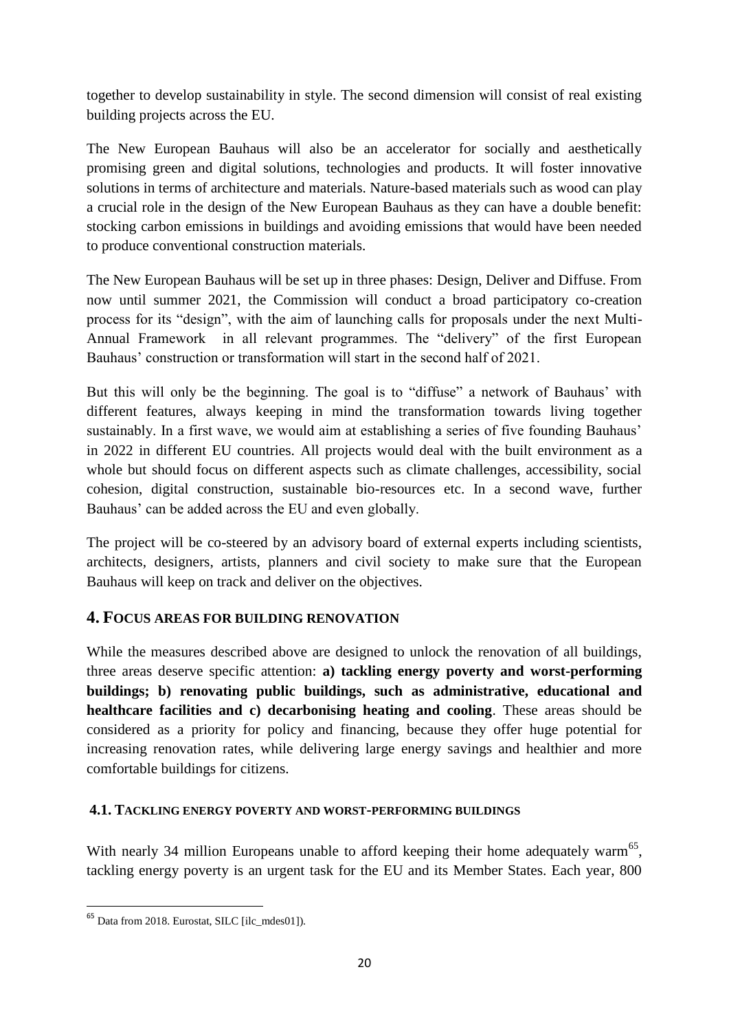together to develop sustainability in style. The second dimension will consist of real existing building projects across the EU.

The New European Bauhaus will also be an accelerator for socially and aesthetically promising green and digital solutions, technologies and products. It will foster innovative solutions in terms of architecture and materials. Nature-based materials such as wood can play a crucial role in the design of the New European Bauhaus as they can have a double benefit: stocking carbon emissions in buildings and avoiding emissions that would have been needed to produce conventional construction materials.

The New European Bauhaus will be set up in three phases: Design, Deliver and Diffuse. From now until summer 2021, the Commission will conduct a broad participatory co-creation process for its "design", with the aim of launching calls for proposals under the next Multi-Annual Framework in all relevant programmes. The "delivery" of the first European Bauhaus' construction or transformation will start in the second half of 2021.

But this will only be the beginning. The goal is to "diffuse" a network of Bauhaus' with different features, always keeping in mind the transformation towards living together sustainably. In a first wave, we would aim at establishing a series of five founding Bauhaus' in 2022 in different EU countries. All projects would deal with the built environment as a whole but should focus on different aspects such as climate challenges, accessibility, social cohesion, digital construction, sustainable bio-resources etc. In a second wave, further Bauhaus' can be added across the EU and even globally.

The project will be co-steered by an advisory board of external experts including scientists, architects, designers, artists, planners and civil society to make sure that the European Bauhaus will keep on track and deliver on the objectives.

# **4. FOCUS AREAS FOR BUILDING RENOVATION**

While the measures described above are designed to unlock the renovation of all buildings, three areas deserve specific attention: **a) tackling energy poverty and worst-performing buildings; b) renovating public buildings, such as administrative, educational and healthcare facilities and c) decarbonising heating and cooling**. These areas should be considered as a priority for policy and financing, because they offer huge potential for increasing renovation rates, while delivering large energy savings and healthier and more comfortable buildings for citizens.

### **4.1. TACKLING ENERGY POVERTY AND WORST-PERFORMING BUILDINGS**

With nearly 34 million Europeans unable to afford keeping their home adequately warm<sup>65</sup>, tackling energy poverty is an urgent task for the EU and its Member States. Each year, 800

1

<sup>&</sup>lt;sup>65</sup> Data from 2018. Eurostat, SILC [ilc\_mdes01]).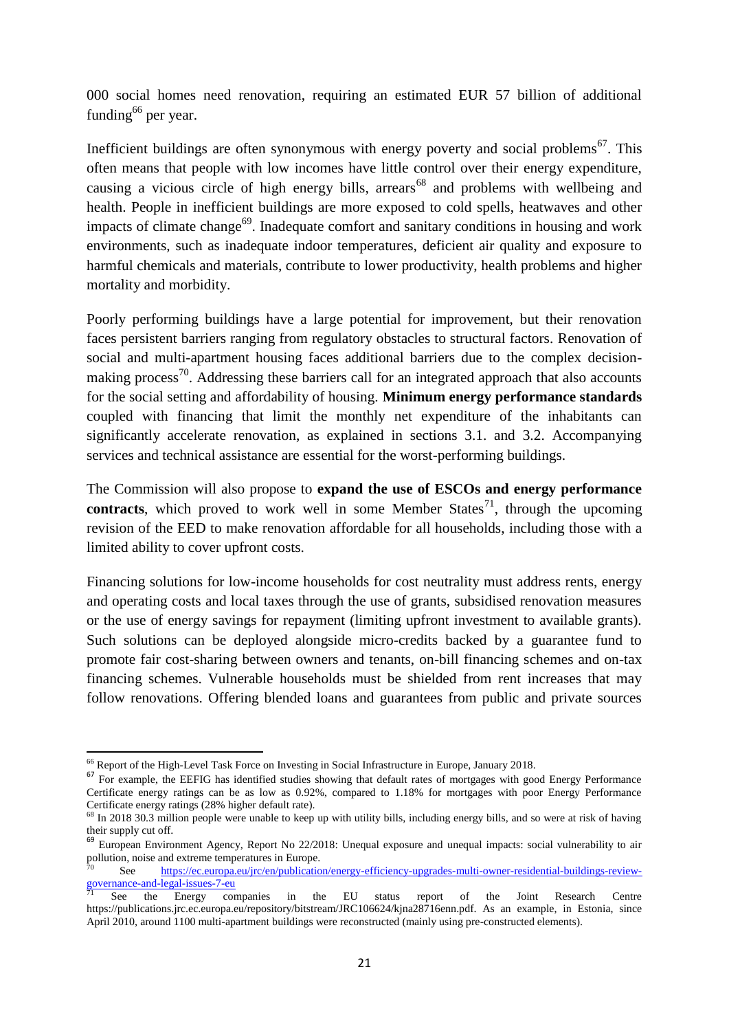000 social homes need renovation, requiring an estimated EUR 57 billion of additional funding $^{66}$  per year.

Inefficient buildings are often synonymous with energy poverty and social problems<sup>67</sup>. This often means that people with low incomes have little control over their energy expenditure, causing a vicious circle of high energy bills, arrears<sup>68</sup> and problems with wellbeing and health. People in inefficient buildings are more exposed to cold spells, heatwaves and other impacts of climate change<sup>69</sup>. Inadequate comfort and sanitary conditions in housing and work environments, such as inadequate indoor temperatures, deficient air quality and exposure to harmful chemicals and materials, contribute to lower productivity, health problems and higher mortality and morbidity.

Poorly performing buildings have a large potential for improvement, but their renovation faces persistent barriers ranging from regulatory obstacles to structural factors. Renovation of social and multi-apartment housing faces additional barriers due to the complex decisionmaking process<sup>70</sup>. Addressing these barriers call for an integrated approach that also accounts for the social setting and affordability of housing. **Minimum energy performance standards** coupled with financing that limit the monthly net expenditure of the inhabitants can significantly accelerate renovation, as explained in sections 3.1. and 3.2. Accompanying services and technical assistance are essential for the worst-performing buildings.

The Commission will also propose to **expand the use of ESCOs and energy performance contracts**, which proved to work well in some Member States<sup>71</sup>, through the upcoming revision of the EED to make renovation affordable for all households, including those with a limited ability to cover upfront costs.

Financing solutions for low-income households for cost neutrality must address rents, energy and operating costs and local taxes through the use of grants, subsidised renovation measures or the use of energy savings for repayment (limiting upfront investment to available grants). Such solutions can be deployed alongside micro-credits backed by a guarantee fund to promote fair cost-sharing between owners and tenants, on-bill financing schemes and on-tax financing schemes. Vulnerable households must be shielded from rent increases that may follow renovations. Offering blended loans and guarantees from public and private sources

**<sup>.</sup>** <sup>66</sup> Report of the High-Level Task Force on Investing in Social Infrastructure in Europe, January 2018.

<sup>&</sup>lt;sup>67</sup> For example, the EEFIG has identified studies showing that default rates of mortgages with good Energy Performance Certificate energy ratings can be as low as 0.92%, compared to 1.18% for mortgages with poor Energy Performance Certificate energy ratings (28% higher default rate).

<sup>&</sup>lt;sup>68</sup> In 2018 30.3 million people were unable to keep up with utility bills, including energy bills, and so were at risk of having their supply cut off.

<sup>&</sup>lt;sup>69</sup> European Environment Agency, Report No 22/2018: Unequal exposure and unequal impacts: social vulnerability to air pollution, noise and extreme temperatures in Europe.

See [https://ec.europa.eu/jrc/en/publication/energy-efficiency-upgrades-multi-owner-residential-buildings-review](https://ec.europa.eu/jrc/en/publication/energy-efficiency-upgrades-multi-owner-residential-buildings-review-governance-and-legal-issues-7-eu)[governance-and-legal-issues-7-eu](https://ec.europa.eu/jrc/en/publication/energy-efficiency-upgrades-multi-owner-residential-buildings-review-governance-and-legal-issues-7-eu)

<sup>71</sup> See the Energy companies in the EU status report of the Joint Research Centre https://publications.jrc.ec.europa.eu/repository/bitstream/JRC106624/kjna28716enn.pdf. As an example, in Estonia, since April 2010, around 1100 multi-apartment buildings were reconstructed (mainly using pre-constructed elements).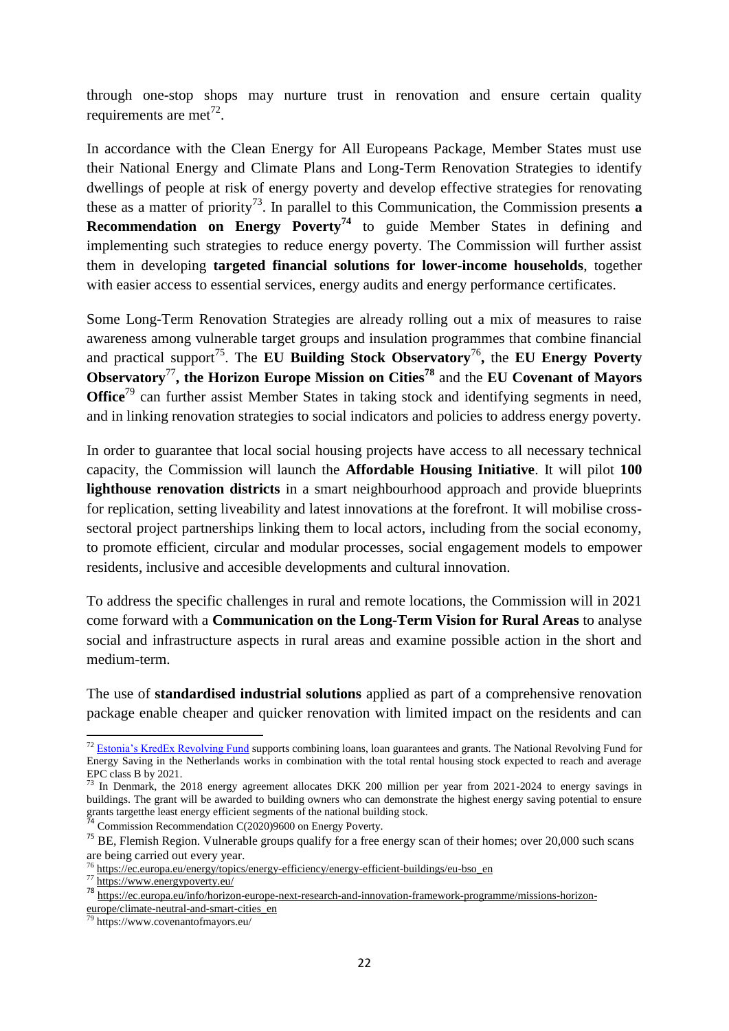through one-stop shops may nurture trust in renovation and ensure certain quality requirements are met<sup>72</sup>.

In accordance with the Clean Energy for All Europeans Package, Member States must use their National Energy and Climate Plans and Long-Term Renovation Strategies to identify dwellings of people at risk of energy poverty and develop effective strategies for renovating these as a matter of priority<sup>73</sup>. In parallel to this Communication, the Commission presents  $\bf{a}$ **Recommendation on Energy Poverty<sup>74</sup>** to guide Member States in defining and implementing such strategies to reduce energy poverty. The Commission will further assist them in developing **targeted financial solutions for lower-income households**, together with easier access to essential services, energy audits and energy performance certificates.

Some Long-Term Renovation Strategies are already rolling out a mix of measures to raise awareness among vulnerable target groups and insulation programmes that combine financial and practical support<sup>75</sup>. The **EU Building Stock Observatory<sup>76</sup>, the EU Energy Poverty Observatory**<sup>77</sup>**, the Horizon Europe Mission on Cities<sup>78</sup>** and the **EU Covenant of Mayors Office**<sup>79</sup> can further assist Member States in taking stock and identifying segments in need, and in linking renovation strategies to social indicators and policies to address energy poverty.

In order to guarantee that local social housing projects have access to all necessary technical capacity, the Commission will launch the **Affordable Housing Initiative**. It will pilot **100 lighthouse renovation districts** in a smart neighbourhood approach and provide blueprints for replication, setting liveability and latest innovations at the forefront. It will mobilise crosssectoral project partnerships linking them to local actors, including from the social economy, to promote efficient, circular and modular processes, social engagement models to empower residents, inclusive and accesible developments and cultural innovation.

To address the specific challenges in rural and remote locations, the Commission will in 2021 come forward with a **Communication on the Long-Term Vision for Rural Areas** to analyse social and infrastructure aspects in rural areas and examine possible action in the short and medium-term.

The use of **standardised industrial solutions** applied as part of a comprehensive renovation package enable cheaper and quicker renovation with limited impact on the residents and can

**<sup>.</sup>**  $<sup>72</sup>$  [Estonia's KredEx Revolving Fund](https://publications.jrc.ec.europa.eu/repository/bitstream/JRC117816/accelerating_energy_renovation_investments_in_buildings.pdf) supports combining loans, loan guarantees and grants. The National Revolving Fund for</sup> Energy Saving in the Netherlands works in combination with the total rental housing stock expected to reach and average EPC class B by 2021.

<sup>&</sup>lt;sup>73</sup> In Denmark, the 2018 energy agreement allocates DKK 200 million per year from 2021-2024 to energy savings in buildings. The grant will be awarded to building owners who can demonstrate the highest energy saving potential to ensure grants targetthe least energy efficient segments of the national building stock.

Commission Recommendation C(2020)9600 on Energy Poverty.

<sup>&</sup>lt;sup>75</sup> BE, Flemish Region. Vulnerable groups qualify for a free energy scan of their homes; over 20,000 such scans are being carried out every year.

 $\frac{1}{2}$  [https://ec.europa.eu/energy/topics/energy-efficiency/energy-efficient-buildings/eu-bso\\_en](https://ec.europa.eu/energy/topics/energy-efficiency/energy-efficient-buildings/eu-bso_en)

<sup>77</sup> <https://www.energypoverty.eu/>

<sup>78</sup> https://ec.europa.eu/info/horizon-europe-next-research-and-innovation-framework-programme/missions-horizon-

europe/climate-neutral-and-smart-cities\_en

https://www.covenantofmayors.eu/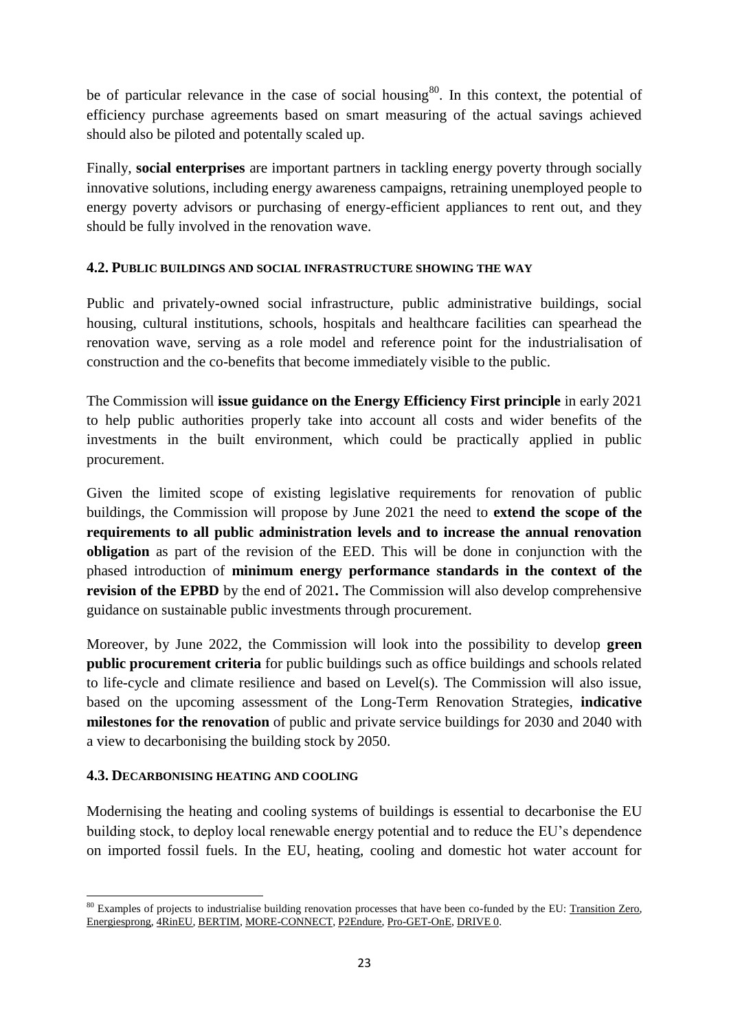be of particular relevance in the case of social housing<sup>80</sup>. In this context, the potential of efficiency purchase agreements based on smart measuring of the actual savings achieved should also be piloted and potentally scaled up.

Finally, **social enterprises** are important partners in tackling energy poverty through socially innovative solutions, including energy awareness campaigns, retraining unemployed people to energy poverty advisors or purchasing of energy-efficient appliances to rent out, and they should be fully involved in the renovation wave.

### **4.2. PUBLIC BUILDINGS AND SOCIAL INFRASTRUCTURE SHOWING THE WAY**

Public and privately-owned social infrastructure, public administrative buildings, social housing, cultural institutions, schools, hospitals and healthcare facilities can spearhead the renovation wave, serving as a role model and reference point for the industrialisation of construction and the co-benefits that become immediately visible to the public.

The Commission will **issue guidance on the Energy Efficiency First principle** in early 2021 to help public authorities properly take into account all costs and wider benefits of the investments in the built environment, which could be practically applied in public procurement.

Given the limited scope of existing legislative requirements for renovation of public buildings, the Commission will propose by June 2021 the need to **extend the scope of the requirements to all public administration levels and to increase the annual renovation obligation** as part of the revision of the EED. This will be done in conjunction with the phased introduction of **minimum energy performance standards in the context of the revision of the EPBD** by the end of 2021**.** The Commission will also develop comprehensive guidance on sustainable public investments through procurement.

Moreover, by June 2022, the Commission will look into the possibility to develop **green public procurement criteria** for public buildings such as office buildings and schools related to life-cycle and climate resilience and based on Level(s). The Commission will also issue, based on the upcoming assessment of the Long-Term Renovation Strategies, **indicative milestones for the renovation** of public and private service buildings for 2030 and 2040 with a view to decarbonising the building stock by 2050.

### **4.3. DECARBONISING HEATING AND COOLING**

Modernising the heating and cooling systems of buildings is essential to decarbonise the EU building stock, to deploy local renewable energy potential and to reduce the EU's dependence on imported fossil fuels. In the EU, heating, cooling and domestic hot water account for

<sup>1</sup> <sup>80</sup> Examples of projects to industrialise building renovation processes that have been co-funded by the EU: [Transition Zero,](http://transition-zero.eu/) [Energiesprong,](https://energiesprong.org/) [4RinEU,](https://4rineu.eu/) [BERTIM,](http://www.bertim.eu/index.php?lang=en) [MORE-CONNECT,](https://www.more-connect.eu/more-connect/) [P2Endure,](https://www.p2endure-project.eu/en) [Pro-GET-OnE,](https://www.progetone.eu/) [DRIVE 0.](https://www.drive0.eu/)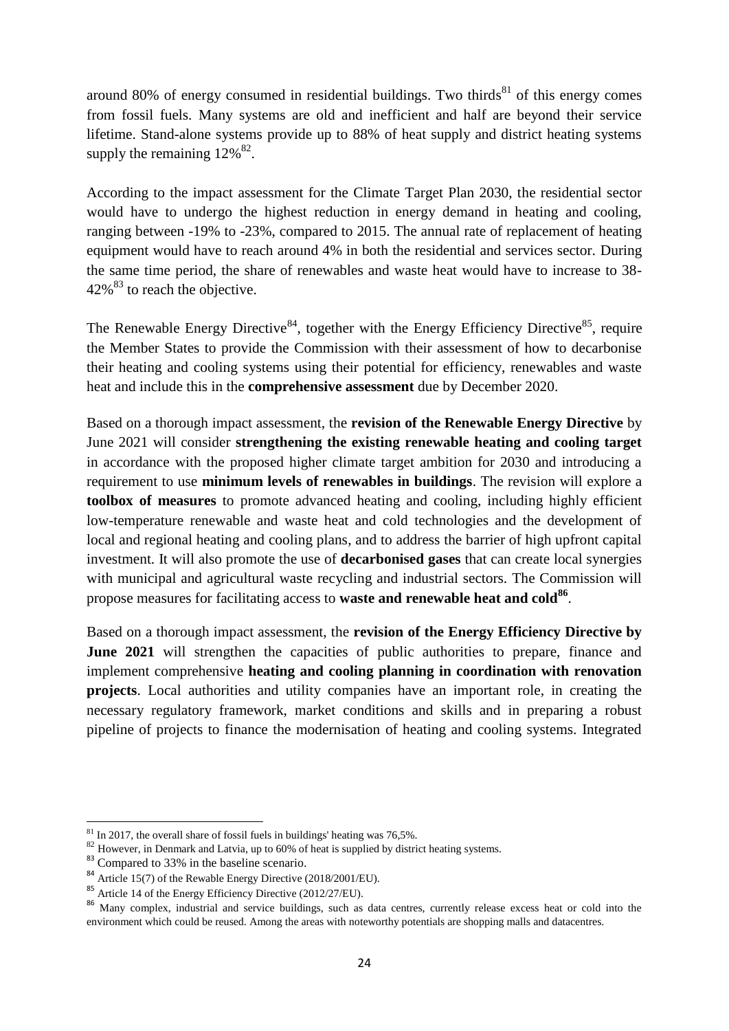around 80% of energy consumed in residential buildings. Two thirds $81$  of this energy comes from fossil fuels. Many systems are old and inefficient and half are beyond their service lifetime. Stand-alone systems provide up to 88% of heat supply and district heating systems supply the remaining  $12\%$ <sup>82</sup>.

According to the impact assessment for the Climate Target Plan 2030, the residential sector would have to undergo the highest reduction in energy demand in heating and cooling, ranging between -19% to -23%, compared to 2015. The annual rate of replacement of heating equipment would have to reach around 4% in both the residential and services sector. During the same time period, the share of renewables and waste heat would have to increase to 38-  $42\%$ <sup>83</sup> to reach the objective.

The Renewable Energy Directive<sup>84</sup>, together with the Energy Efficiency Directive<sup>85</sup>, require the Member States to provide the Commission with their assessment of how to decarbonise their heating and cooling systems using their potential for efficiency, renewables and waste heat and include this in the **comprehensive assessment** due by December 2020.

Based on a thorough impact assessment, the **revision of the Renewable Energy Directive** by June 2021 will consider **strengthening the existing renewable heating and cooling target** in accordance with the proposed higher climate target ambition for 2030 and introducing a requirement to use **minimum levels of renewables in buildings**. The revision will explore a **toolbox of measures** to promote advanced heating and cooling, including highly efficient low-temperature renewable and waste heat and cold technologies and the development of local and regional heating and cooling plans, and to address the barrier of high upfront capital investment. It will also promote the use of **decarbonised gases** that can create local synergies with municipal and agricultural waste recycling and industrial sectors. The Commission will propose measures for facilitating access to **waste and renewable heat and cold<sup>86</sup>** .

Based on a thorough impact assessment, the **revision of the Energy Efficiency Directive by June 2021** will strengthen the capacities of public authorities to prepare, finance and implement comprehensive **heating and cooling planning in coordination with renovation projects**. Local authorities and utility companies have an important role, in creating the necessary regulatory framework, market conditions and skills and in preparing a robust pipeline of projects to finance the modernisation of heating and cooling systems. Integrated

<sup>1</sup>  $81$  In 2017, the overall share of fossil fuels in buildings' heating was 76,5%.

<sup>&</sup>lt;sup>82</sup> However, in Denmark and Latvia, up to 60% of heat is supplied by district heating systems.

<sup>&</sup>lt;sup>83</sup> Compared to 33% in the baseline scenario.

<sup>84</sup> Article 15(7) of the Rewable Energy Directive (2018/2001/EU).

 $85$  Article 14 of the Energy Efficiency Directive (2012/27/EU).

<sup>86</sup> Many complex, industrial and service buildings, such as data centres, currently release excess heat or cold into the environment which could be reused. Among the areas with noteworthy potentials are shopping malls and datacentres.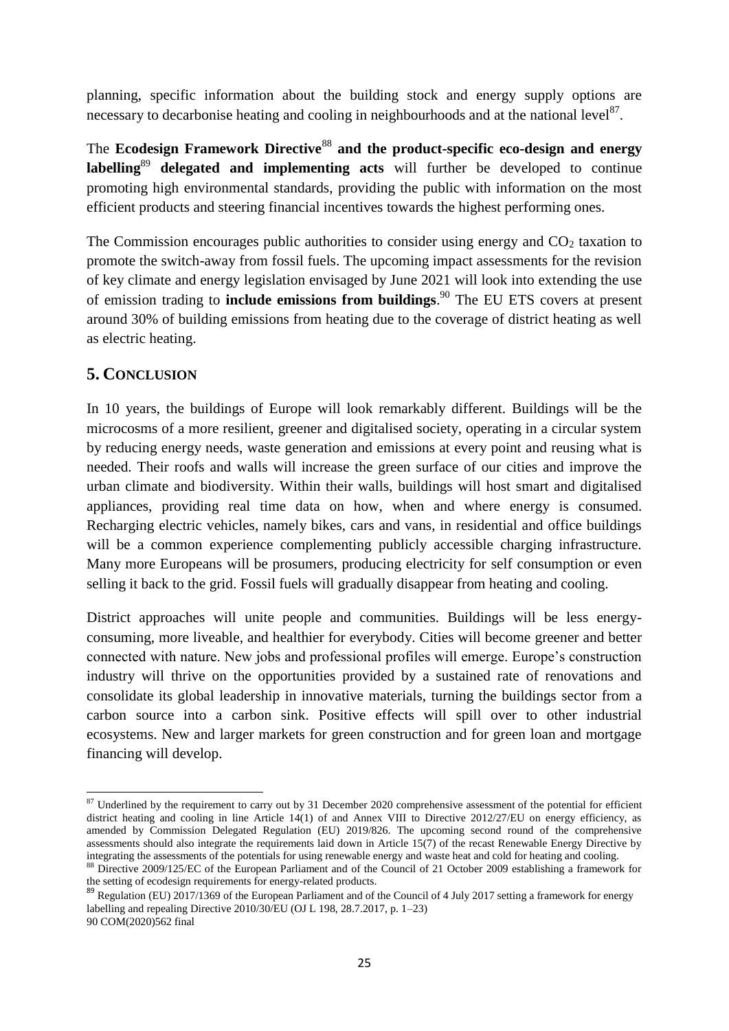planning, specific information about the building stock and energy supply options are necessary to decarbonise heating and cooling in neighbourhoods and at the national level $^{87}$ .

The **Ecodesign Framework Directive**<sup>88</sup> and the product-specific eco-design and energy **labelling**<sup>89</sup> **delegated and implementing acts** will further be developed to continue promoting high environmental standards, providing the public with information on the most efficient products and steering financial incentives towards the highest performing ones.

The Commission encourages public authorities to consider using energy and  $CO<sub>2</sub>$  taxation to promote the switch-away from fossil fuels. The upcoming impact assessments for the revision of key climate and energy legislation envisaged by June 2021 will look into extending the use of emission trading to **include emissions from buildings**. <sup>90</sup> The EU ETS covers at present around 30% of building emissions from heating due to the coverage of district heating as well as electric heating.

# **5. CONCLUSION**

In 10 years, the buildings of Europe will look remarkably different. Buildings will be the microcosms of a more resilient, greener and digitalised society, operating in a circular system by reducing energy needs, waste generation and emissions at every point and reusing what is needed. Their roofs and walls will increase the green surface of our cities and improve the urban climate and biodiversity. Within their walls, buildings will host smart and digitalised appliances, providing real time data on how, when and where energy is consumed. Recharging electric vehicles, namely bikes, cars and vans, in residential and office buildings will be a common experience complementing publicly accessible charging infrastructure. Many more Europeans will be prosumers, producing electricity for self consumption or even selling it back to the grid. Fossil fuels will gradually disappear from heating and cooling.

District approaches will unite people and communities. Buildings will be less energyconsuming, more liveable, and healthier for everybody. Cities will become greener and better connected with nature. New jobs and professional profiles will emerge. Europe's construction industry will thrive on the opportunities provided by a sustained rate of renovations and consolidate its global leadership in innovative materials, turning the buildings sector from a carbon source into a carbon sink. Positive effects will spill over to other industrial ecosystems. New and larger markets for green construction and for green loan and mortgage financing will develop.

the setting of ecodesign requirements for energy-related products.

**<sup>.</sup>**  $87$  Underlined by the requirement to carry out by 31 December 2020 comprehensive assessment of the potential for efficient district heating and cooling in line Article 14(1) of and Annex VIII to Directive 2012/27/EU on energy efficiency, as amended by Commission Delegated Regulation (EU) 2019/826. The upcoming second round of the comprehensive assessments should also integrate the requirements laid down in Article  $15(7)$  of the recast Renewable Energy Directive by integrating the assessments of the potentials for using renewable energy and waste heat and cold for heating and cooling. 88 Directive 2009/125/EC of the European Parliament and of the Council of 21 October 2009 establishing a framework for

 $89$  Regulation (EU) 2017/1369 of the European Parliament and of the Council of 4 July 2017 setting a framework for energy labelling and repealing Directive 2010/30/EU (OJ L 198, 28.7.2017, p. 1–23) 90 COM(2020)562 final